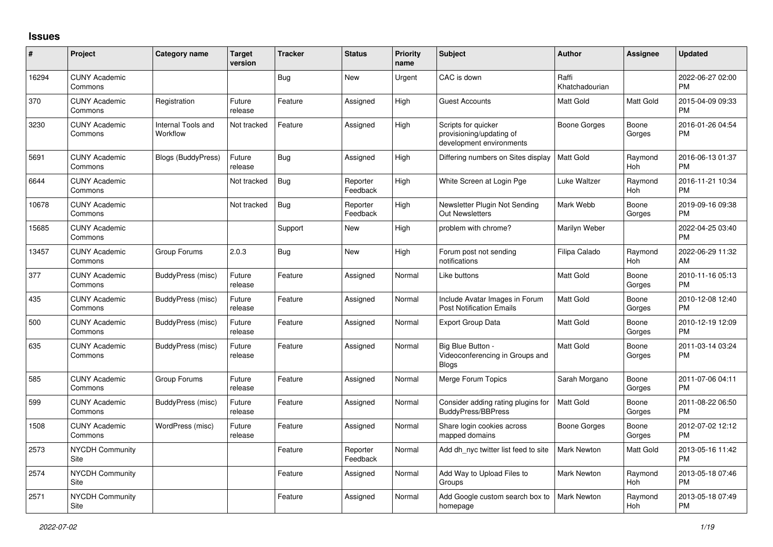## **Issues**

| #     | Project                         | <b>Category name</b>           | <b>Target</b><br>version | <b>Tracker</b> | <b>Status</b>        | Priority<br>name | <b>Subject</b>                                                              | <b>Author</b>           | <b>Assignee</b> | <b>Updated</b>                |
|-------|---------------------------------|--------------------------------|--------------------------|----------------|----------------------|------------------|-----------------------------------------------------------------------------|-------------------------|-----------------|-------------------------------|
| 16294 | <b>CUNY Academic</b><br>Commons |                                |                          | Bug            | <b>New</b>           | Urgent           | CAC is down                                                                 | Raffi<br>Khatchadourian |                 | 2022-06-27 02:00<br><b>PM</b> |
| 370   | <b>CUNY Academic</b><br>Commons | Registration                   | Future<br>release        | Feature        | Assigned             | High             | <b>Guest Accounts</b>                                                       | <b>Matt Gold</b>        | Matt Gold       | 2015-04-09 09:33<br><b>PM</b> |
| 3230  | <b>CUNY Academic</b><br>Commons | Internal Tools and<br>Workflow | Not tracked              | Feature        | Assigned             | High             | Scripts for quicker<br>provisioning/updating of<br>development environments | Boone Gorges            | Boone<br>Gorges | 2016-01-26 04:54<br><b>PM</b> |
| 5691  | <b>CUNY Academic</b><br>Commons | <b>Blogs (BuddyPress)</b>      | Future<br>release        | Bug            | Assigned             | High             | Differing numbers on Sites display                                          | <b>Matt Gold</b>        | Raymond<br>Hoh  | 2016-06-13 01:37<br><b>PM</b> |
| 6644  | <b>CUNY Academic</b><br>Commons |                                | Not tracked              | Bug            | Reporter<br>Feedback | High             | White Screen at Login Pge                                                   | Luke Waltzer            | Raymond<br>Hoh  | 2016-11-21 10:34<br><b>PM</b> |
| 10678 | <b>CUNY Academic</b><br>Commons |                                | Not tracked              | <b>Bug</b>     | Reporter<br>Feedback | High             | Newsletter Plugin Not Sending<br><b>Out Newsletters</b>                     | Mark Webb               | Boone<br>Gorges | 2019-09-16 09:38<br><b>PM</b> |
| 15685 | <b>CUNY Academic</b><br>Commons |                                |                          | Support        | New                  | High             | problem with chrome?                                                        | Marilyn Weber           |                 | 2022-04-25 03:40<br><b>PM</b> |
| 13457 | <b>CUNY Academic</b><br>Commons | Group Forums                   | 2.0.3                    | Bug            | New                  | High             | Forum post not sending<br>notifications                                     | Filipa Calado           | Raymond<br>Hoh  | 2022-06-29 11:32<br>AM        |
| 377   | <b>CUNY Academic</b><br>Commons | BuddyPress (misc)              | Future<br>release        | Feature        | Assigned             | Normal           | Like buttons                                                                | <b>Matt Gold</b>        | Boone<br>Gorges | 2010-11-16 05:13<br><b>PM</b> |
| 435   | <b>CUNY Academic</b><br>Commons | BuddyPress (misc)              | Future<br>release        | Feature        | Assigned             | Normal           | Include Avatar Images in Forum<br><b>Post Notification Emails</b>           | <b>Matt Gold</b>        | Boone<br>Gorges | 2010-12-08 12:40<br><b>PM</b> |
| 500   | <b>CUNY Academic</b><br>Commons | BuddyPress (misc)              | Future<br>release        | Feature        | Assigned             | Normal           | <b>Export Group Data</b>                                                    | Matt Gold               | Boone<br>Gorges | 2010-12-19 12:09<br><b>PM</b> |
| 635   | <b>CUNY Academic</b><br>Commons | BuddyPress (misc)              | Future<br>release        | Feature        | Assigned             | Normal           | Big Blue Button -<br>Videoconferencing in Groups and<br><b>Blogs</b>        | <b>Matt Gold</b>        | Boone<br>Gorges | 2011-03-14 03:24<br><b>PM</b> |
| 585   | <b>CUNY Academic</b><br>Commons | Group Forums                   | Future<br>release        | Feature        | Assigned             | Normal           | Merge Forum Topics                                                          | Sarah Morgano           | Boone<br>Gorges | 2011-07-06 04:11<br><b>PM</b> |
| 599   | <b>CUNY Academic</b><br>Commons | BuddyPress (misc)              | Future<br>release        | Feature        | Assigned             | Normal           | Consider adding rating plugins for<br><b>BuddyPress/BBPress</b>             | <b>Matt Gold</b>        | Boone<br>Gorges | 2011-08-22 06:50<br><b>PM</b> |
| 1508  | <b>CUNY Academic</b><br>Commons | WordPress (misc)               | Future<br>release        | Feature        | Assigned             | Normal           | Share login cookies across<br>mapped domains                                | Boone Gorges            | Boone<br>Gorges | 2012-07-02 12:12<br><b>PM</b> |
| 2573  | <b>NYCDH Community</b><br>Site  |                                |                          | Feature        | Reporter<br>Feedback | Normal           | Add dh nyc twitter list feed to site                                        | Mark Newton             | Matt Gold       | 2013-05-16 11:42<br><b>PM</b> |
| 2574  | <b>NYCDH Community</b><br>Site  |                                |                          | Feature        | Assigned             | Normal           | Add Way to Upload Files to<br>Groups                                        | <b>Mark Newton</b>      | Raymond<br>Hoh  | 2013-05-18 07:46<br><b>PM</b> |
| 2571  | <b>NYCDH Community</b><br>Site  |                                |                          | Feature        | Assigned             | Normal           | Add Google custom search box to<br>homepage                                 | <b>Mark Newton</b>      | Raymond<br>Hoh  | 2013-05-18 07:49<br><b>PM</b> |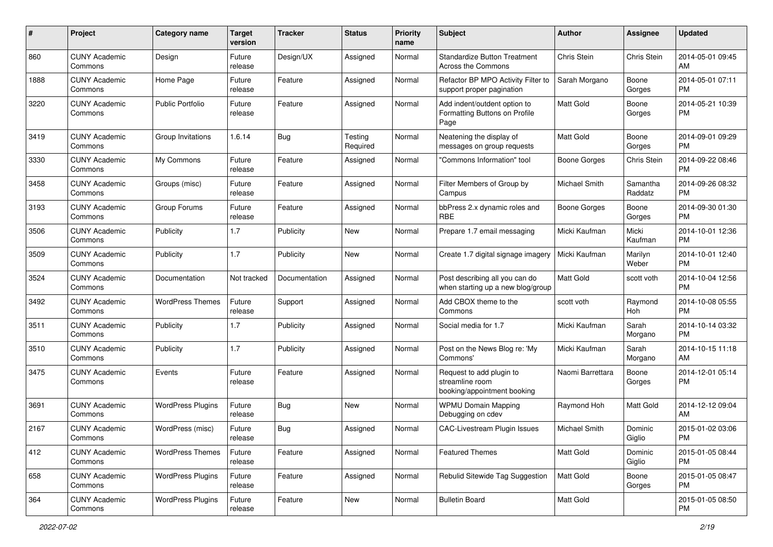| #    | Project                         | <b>Category name</b>     | <b>Target</b><br>version | <b>Tracker</b> | <b>Status</b>       | Priority<br>name | <b>Subject</b>                                                             | <b>Author</b>        | <b>Assignee</b>          | <b>Updated</b>                |
|------|---------------------------------|--------------------------|--------------------------|----------------|---------------------|------------------|----------------------------------------------------------------------------|----------------------|--------------------------|-------------------------------|
| 860  | <b>CUNY Academic</b><br>Commons | Design                   | Future<br>release        | Design/UX      | Assigned            | Normal           | <b>Standardize Button Treatment</b><br>Across the Commons                  | Chris Stein          | Chris Stein              | 2014-05-01 09:45<br>AM.       |
| 1888 | <b>CUNY Academic</b><br>Commons | Home Page                | Future<br>release        | Feature        | Assigned            | Normal           | Refactor BP MPO Activity Filter to<br>support proper pagination            | Sarah Morgano        | Boone<br>Gorges          | 2014-05-01 07:11<br><b>PM</b> |
| 3220 | <b>CUNY Academic</b><br>Commons | Public Portfolio         | Future<br>release        | Feature        | Assigned            | Normal           | Add indent/outdent option to<br>Formatting Buttons on Profile<br>Page      | Matt Gold            | Boone<br>Gorges          | 2014-05-21 10:39<br><b>PM</b> |
| 3419 | <b>CUNY Academic</b><br>Commons | Group Invitations        | 1.6.14                   | Bug            | Testing<br>Required | Normal           | Neatening the display of<br>messages on group requests                     | <b>Matt Gold</b>     | Boone<br>Gorges          | 2014-09-01 09:29<br>PM.       |
| 3330 | <b>CUNY Academic</b><br>Commons | My Commons               | Future<br>release        | Feature        | Assigned            | Normal           | 'Commons Information" tool                                                 | Boone Gorges         | Chris Stein              | 2014-09-22 08:46<br><b>PM</b> |
| 3458 | <b>CUNY Academic</b><br>Commons | Groups (misc)            | Future<br>release        | Feature        | Assigned            | Normal           | Filter Members of Group by<br>Campus                                       | Michael Smith        | Samantha<br>Raddatz      | 2014-09-26 08:32<br><b>PM</b> |
| 3193 | <b>CUNY Academic</b><br>Commons | Group Forums             | Future<br>release        | Feature        | Assigned            | Normal           | bbPress 2.x dynamic roles and<br><b>RBE</b>                                | Boone Gorges         | Boone<br>Gorges          | 2014-09-30 01:30<br><b>PM</b> |
| 3506 | <b>CUNY Academic</b><br>Commons | Publicity                | 1.7                      | Publicity      | New                 | Normal           | Prepare 1.7 email messaging                                                | Micki Kaufman        | Micki<br>Kaufman         | 2014-10-01 12:36<br><b>PM</b> |
| 3509 | <b>CUNY Academic</b><br>Commons | Publicity                | 1.7                      | Publicity      | <b>New</b>          | Normal           | Create 1.7 digital signage imagery                                         | Micki Kaufman        | Marilyn<br>Weber         | 2014-10-01 12:40<br>PM.       |
| 3524 | <b>CUNY Academic</b><br>Commons | Documentation            | Not tracked              | Documentation  | Assigned            | Normal           | Post describing all you can do<br>when starting up a new blog/group        | <b>Matt Gold</b>     | scott voth               | 2014-10-04 12:56<br><b>PM</b> |
| 3492 | <b>CUNY Academic</b><br>Commons | <b>WordPress Themes</b>  | Future<br>release        | Support        | Assigned            | Normal           | Add CBOX theme to the<br>Commons                                           | scott voth           | Raymond<br>Hoh           | 2014-10-08 05:55<br><b>PM</b> |
| 3511 | <b>CUNY Academic</b><br>Commons | Publicity                | 1.7                      | Publicity      | Assigned            | Normal           | Social media for 1.7                                                       | Micki Kaufman        | Sarah<br>Morgano         | 2014-10-14 03:32<br><b>PM</b> |
| 3510 | <b>CUNY Academic</b><br>Commons | Publicity                | 1.7                      | Publicity      | Assigned            | Normal           | Post on the News Blog re: 'My<br>Commons'                                  | Micki Kaufman        | Sarah<br>Morgano         | 2014-10-15 11:18<br>AM        |
| 3475 | <b>CUNY Academic</b><br>Commons | Events                   | Future<br>release        | Feature        | Assigned            | Normal           | Request to add plugin to<br>streamline room<br>booking/appointment booking | Naomi Barrettara     | Boone<br>Gorges          | 2014-12-01 05:14<br>PM.       |
| 3691 | <b>CUNY Academic</b><br>Commons | <b>WordPress Plugins</b> | Future<br>release        | <b>Bug</b>     | New                 | Normal           | <b>WPMU Domain Mapping</b><br>Debugging on cdev                            | Raymond Hoh          | Matt Gold                | 2014-12-12 09:04<br>AM.       |
| 2167 | <b>CUNY Academic</b><br>Commons | WordPress (misc)         | Future<br>release        | Bug            | Assigned            | Normal           | <b>CAC-Livestream Plugin Issues</b>                                        | <b>Michael Smith</b> | Dominic<br>Giglio        | 2015-01-02 03:06<br><b>PM</b> |
| 412  | <b>CUNY Academic</b><br>Commons | <b>WordPress Themes</b>  | Future<br>release        | Feature        | Assigned            | Normal           | <b>Featured Themes</b>                                                     | Matt Gold            | <b>Dominic</b><br>Giglio | 2015-01-05 08:44<br>PM.       |
| 658  | <b>CUNY Academic</b><br>Commons | <b>WordPress Plugins</b> | Future<br>release        | Feature        | Assigned            | Normal           | Rebulid Sitewide Tag Suggestion                                            | Matt Gold            | Boone<br>Gorges          | 2015-01-05 08:47<br><b>PM</b> |
| 364  | <b>CUNY Academic</b><br>Commons | <b>WordPress Plugins</b> | Future<br>release        | Feature        | New                 | Normal           | <b>Bulletin Board</b>                                                      | Matt Gold            |                          | 2015-01-05 08:50<br><b>PM</b> |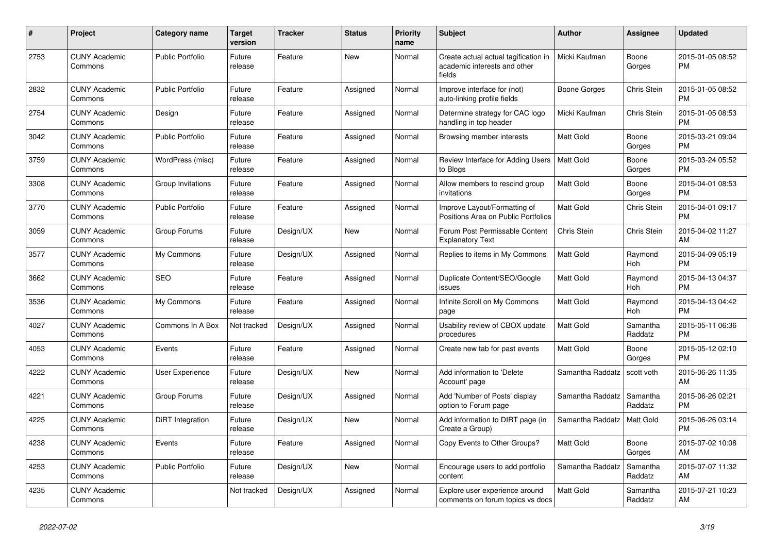| #    | <b>Project</b>                  | Category name           | <b>Target</b><br>version | <b>Tracker</b> | <b>Status</b> | <b>Priority</b><br>name | <b>Subject</b>                                                                 | <b>Author</b>    | <b>Assignee</b>     | <b>Updated</b>                |
|------|---------------------------------|-------------------------|--------------------------|----------------|---------------|-------------------------|--------------------------------------------------------------------------------|------------------|---------------------|-------------------------------|
| 2753 | <b>CUNY Academic</b><br>Commons | <b>Public Portfolio</b> | Future<br>release        | Feature        | New           | Normal                  | Create actual actual tagification in<br>academic interests and other<br>fields | Micki Kaufman    | Boone<br>Gorges     | 2015-01-05 08:52<br><b>PM</b> |
| 2832 | <b>CUNY Academic</b><br>Commons | <b>Public Portfolio</b> | Future<br>release        | Feature        | Assigned      | Normal                  | Improve interface for (not)<br>auto-linking profile fields                     | Boone Gorges     | Chris Stein         | 2015-01-05 08:52<br><b>PM</b> |
| 2754 | <b>CUNY Academic</b><br>Commons | Design                  | Future<br>release        | Feature        | Assigned      | Normal                  | Determine strategy for CAC logo<br>handling in top header                      | Micki Kaufman    | Chris Stein         | 2015-01-05 08:53<br><b>PM</b> |
| 3042 | <b>CUNY Academic</b><br>Commons | <b>Public Portfolio</b> | Future<br>release        | Feature        | Assigned      | Normal                  | Browsing member interests                                                      | <b>Matt Gold</b> | Boone<br>Gorges     | 2015-03-21 09:04<br><b>PM</b> |
| 3759 | <b>CUNY Academic</b><br>Commons | WordPress (misc)        | Future<br>release        | Feature        | Assigned      | Normal                  | Review Interface for Adding Users<br>to Blogs                                  | Matt Gold        | Boone<br>Gorges     | 2015-03-24 05:52<br><b>PM</b> |
| 3308 | <b>CUNY Academic</b><br>Commons | Group Invitations       | Future<br>release        | Feature        | Assigned      | Normal                  | Allow members to rescind group<br>invitations                                  | <b>Matt Gold</b> | Boone<br>Gorges     | 2015-04-01 08:53<br><b>PM</b> |
| 3770 | <b>CUNY Academic</b><br>Commons | Public Portfolio        | Future<br>release        | Feature        | Assigned      | Normal                  | Improve Layout/Formatting of<br>Positions Area on Public Portfolios            | <b>Matt Gold</b> | Chris Stein         | 2015-04-01 09:17<br><b>PM</b> |
| 3059 | <b>CUNY Academic</b><br>Commons | Group Forums            | Future<br>release        | Design/UX      | New           | Normal                  | Forum Post Permissable Content<br><b>Explanatory Text</b>                      | Chris Stein      | Chris Stein         | 2015-04-02 11:27<br>AM        |
| 3577 | <b>CUNY Academic</b><br>Commons | My Commons              | Future<br>release        | Design/UX      | Assigned      | Normal                  | Replies to items in My Commons                                                 | <b>Matt Gold</b> | Raymond<br>Hoh      | 2015-04-09 05:19<br><b>PM</b> |
| 3662 | <b>CUNY Academic</b><br>Commons | <b>SEO</b>              | Future<br>release        | Feature        | Assigned      | Normal                  | Duplicate Content/SEO/Google<br>issues                                         | <b>Matt Gold</b> | Raymond<br>Hoh      | 2015-04-13 04:37<br><b>PM</b> |
| 3536 | <b>CUNY Academic</b><br>Commons | My Commons              | Future<br>release        | Feature        | Assigned      | Normal                  | Infinite Scroll on My Commons<br>page                                          | <b>Matt Gold</b> | Raymond<br>Hoh      | 2015-04-13 04:42<br><b>PM</b> |
| 4027 | <b>CUNY Academic</b><br>Commons | Commons In A Box        | Not tracked              | Design/UX      | Assigned      | Normal                  | Usability review of CBOX update<br>procedures                                  | <b>Matt Gold</b> | Samantha<br>Raddatz | 2015-05-11 06:36<br><b>PM</b> |
| 4053 | <b>CUNY Academic</b><br>Commons | Events                  | Future<br>release        | Feature        | Assigned      | Normal                  | Create new tab for past events                                                 | <b>Matt Gold</b> | Boone<br>Gorges     | 2015-05-12 02:10<br><b>PM</b> |
| 4222 | <b>CUNY Academic</b><br>Commons | User Experience         | Future<br>release        | Design/UX      | New           | Normal                  | Add information to 'Delete<br>Account' page                                    | Samantha Raddatz | scott voth          | 2015-06-26 11:35<br>AM        |
| 4221 | <b>CUNY Academic</b><br>Commons | Group Forums            | Future<br>release        | Design/UX      | Assigned      | Normal                  | Add 'Number of Posts' display<br>option to Forum page                          | Samantha Raddatz | Samantha<br>Raddatz | 2015-06-26 02:21<br><b>PM</b> |
| 4225 | <b>CUNY Academic</b><br>Commons | DiRT Integration        | Future<br>release        | Design/UX      | <b>New</b>    | Normal                  | Add information to DIRT page (in<br>Create a Group)                            | Samantha Raddatz | Matt Gold           | 2015-06-26 03:14<br><b>PM</b> |
| 4238 | <b>CUNY Academic</b><br>Commons | Events                  | Future<br>release        | Feature        | Assigned      | Normal                  | Copy Events to Other Groups?                                                   | <b>Matt Gold</b> | Boone<br>Gorges     | 2015-07-02 10:08<br>AM        |
| 4253 | <b>CUNY Academic</b><br>Commons | Public Portfolio        | Future<br>release        | Design/UX      | New           | Normal                  | Encourage users to add portfolio<br>content                                    | Samantha Raddatz | Samantha<br>Raddatz | 2015-07-07 11:32<br>AM        |
| 4235 | <b>CUNY Academic</b><br>Commons |                         | Not tracked              | Design/UX      | Assigned      | Normal                  | Explore user experience around<br>comments on forum topics vs docs             | <b>Matt Gold</b> | Samantha<br>Raddatz | 2015-07-21 10:23<br>AM        |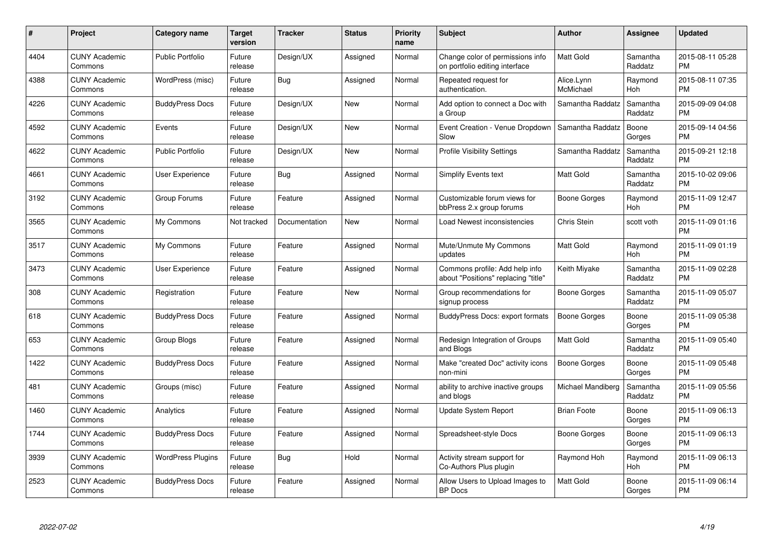| $\#$ | Project                         | <b>Category name</b>     | Target<br>version | <b>Tracker</b> | <b>Status</b> | Priority<br>name | <b>Subject</b>                                                        | <b>Author</b>           | <b>Assignee</b>     | <b>Updated</b>                |
|------|---------------------------------|--------------------------|-------------------|----------------|---------------|------------------|-----------------------------------------------------------------------|-------------------------|---------------------|-------------------------------|
| 4404 | <b>CUNY Academic</b><br>Commons | <b>Public Portfolio</b>  | Future<br>release | Design/UX      | Assigned      | Normal           | Change color of permissions info<br>on portfolio editing interface    | <b>Matt Gold</b>        | Samantha<br>Raddatz | 2015-08-11 05:28<br><b>PM</b> |
| 4388 | <b>CUNY Academic</b><br>Commons | WordPress (misc)         | Future<br>release | Bug            | Assigned      | Normal           | Repeated request for<br>authentication.                               | Alice.Lynn<br>McMichael | Raymond<br>Hoh      | 2015-08-11 07:35<br><b>PM</b> |
| 4226 | <b>CUNY Academic</b><br>Commons | <b>BuddyPress Docs</b>   | Future<br>release | Design/UX      | <b>New</b>    | Normal           | Add option to connect a Doc with<br>a Group                           | Samantha Raddatz        | Samantha<br>Raddatz | 2015-09-09 04:08<br><b>PM</b> |
| 4592 | <b>CUNY Academic</b><br>Commons | Events                   | Future<br>release | Design/UX      | <b>New</b>    | Normal           | Event Creation - Venue Dropdown<br>Slow                               | Samantha Raddatz        | Boone<br>Gorges     | 2015-09-14 04:56<br><b>PM</b> |
| 4622 | <b>CUNY Academic</b><br>Commons | <b>Public Portfolio</b>  | Future<br>release | Design/UX      | <b>New</b>    | Normal           | <b>Profile Visibility Settings</b>                                    | Samantha Raddatz        | Samantha<br>Raddatz | 2015-09-21 12:18<br><b>PM</b> |
| 4661 | <b>CUNY Academic</b><br>Commons | <b>User Experience</b>   | Future<br>release | Bug            | Assigned      | Normal           | <b>Simplify Events text</b>                                           | <b>Matt Gold</b>        | Samantha<br>Raddatz | 2015-10-02 09:06<br><b>PM</b> |
| 3192 | <b>CUNY Academic</b><br>Commons | Group Forums             | Future<br>release | Feature        | Assigned      | Normal           | Customizable forum views for<br>bbPress 2.x group forums              | Boone Gorges            | Raymond<br>Hoh      | 2015-11-09 12:47<br><b>PM</b> |
| 3565 | <b>CUNY Academic</b><br>Commons | My Commons               | Not tracked       | Documentation  | <b>New</b>    | Normal           | Load Newest inconsistencies                                           | Chris Stein             | scott voth          | 2015-11-09 01:16<br><b>PM</b> |
| 3517 | <b>CUNY Academic</b><br>Commons | My Commons               | Future<br>release | Feature        | Assigned      | Normal           | Mute/Unmute My Commons<br>updates                                     | <b>Matt Gold</b>        | Raymond<br>Hoh      | 2015-11-09 01:19<br><b>PM</b> |
| 3473 | <b>CUNY Academic</b><br>Commons | User Experience          | Future<br>release | Feature        | Assigned      | Normal           | Commons profile: Add help info<br>about "Positions" replacing "title" | Keith Miyake            | Samantha<br>Raddatz | 2015-11-09 02:28<br><b>PM</b> |
| 308  | <b>CUNY Academic</b><br>Commons | Registration             | Future<br>release | Feature        | New           | Normal           | Group recommendations for<br>signup process                           | Boone Gorges            | Samantha<br>Raddatz | 2015-11-09 05:07<br><b>PM</b> |
| 618  | <b>CUNY Academic</b><br>Commons | <b>BuddyPress Docs</b>   | Future<br>release | Feature        | Assigned      | Normal           | <b>BuddyPress Docs: export formats</b>                                | Boone Gorges            | Boone<br>Gorges     | 2015-11-09 05:38<br><b>PM</b> |
| 653  | <b>CUNY Academic</b><br>Commons | Group Blogs              | Future<br>release | Feature        | Assigned      | Normal           | Redesign Integration of Groups<br>and Blogs                           | Matt Gold               | Samantha<br>Raddatz | 2015-11-09 05:40<br><b>PM</b> |
| 1422 | <b>CUNY Academic</b><br>Commons | <b>BuddyPress Docs</b>   | Future<br>release | Feature        | Assigned      | Normal           | Make "created Doc" activity icons<br>non-mini                         | <b>Boone Gorges</b>     | Boone<br>Gorges     | 2015-11-09 05:48<br><b>PM</b> |
| 481  | <b>CUNY Academic</b><br>Commons | Groups (misc)            | Future<br>release | Feature        | Assigned      | Normal           | ability to archive inactive groups<br>and blogs                       | Michael Mandiberg       | Samantha<br>Raddatz | 2015-11-09 05:56<br><b>PM</b> |
| 1460 | <b>CUNY Academic</b><br>Commons | Analytics                | Future<br>release | Feature        | Assigned      | Normal           | <b>Update System Report</b>                                           | <b>Brian Foote</b>      | Boone<br>Gorges     | 2015-11-09 06:13<br><b>PM</b> |
| 1744 | <b>CUNY Academic</b><br>Commons | <b>BuddyPress Docs</b>   | Future<br>release | Feature        | Assigned      | Normal           | Spreadsheet-style Docs                                                | Boone Gorges            | Boone<br>Gorges     | 2015-11-09 06:13<br><b>PM</b> |
| 3939 | <b>CUNY Academic</b><br>Commons | <b>WordPress Plugins</b> | Future<br>release | Bug            | Hold          | Normal           | Activity stream support for<br>Co-Authors Plus plugin                 | Raymond Hoh             | Raymond<br>Hoh      | 2015-11-09 06:13<br><b>PM</b> |
| 2523 | CUNY Academic<br>Commons        | <b>BuddyPress Docs</b>   | Future<br>release | Feature        | Assigned      | Normal           | Allow Users to Upload Images to<br><b>BP</b> Docs                     | <b>Matt Gold</b>        | Boone<br>Gorges     | 2015-11-09 06:14<br><b>PM</b> |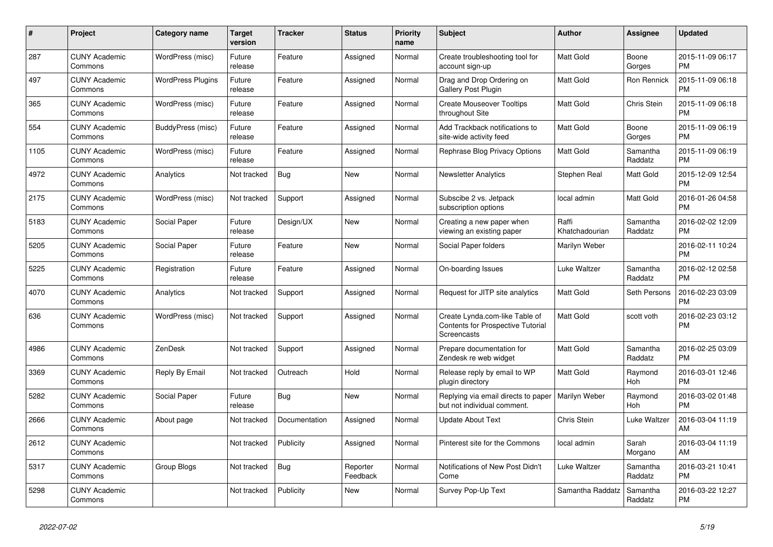| $\#$ | Project                         | <b>Category name</b>     | <b>Target</b><br>version | <b>Tracker</b> | <b>Status</b>        | <b>Priority</b><br>name | <b>Subject</b>                                                                     | <b>Author</b>           | Assignee            | <b>Updated</b>                |
|------|---------------------------------|--------------------------|--------------------------|----------------|----------------------|-------------------------|------------------------------------------------------------------------------------|-------------------------|---------------------|-------------------------------|
| 287  | <b>CUNY Academic</b><br>Commons | WordPress (misc)         | Future<br>release        | Feature        | Assigned             | Normal                  | Create troubleshooting tool for<br>account sign-up                                 | <b>Matt Gold</b>        | Boone<br>Gorges     | 2015-11-09 06:17<br><b>PM</b> |
| 497  | <b>CUNY Academic</b><br>Commons | <b>WordPress Plugins</b> | Future<br>release        | Feature        | Assigned             | Normal                  | Drag and Drop Ordering on<br>Gallery Post Plugin                                   | <b>Matt Gold</b>        | Ron Rennick         | 2015-11-09 06:18<br><b>PM</b> |
| 365  | <b>CUNY Academic</b><br>Commons | WordPress (misc)         | Future<br>release        | Feature        | Assigned             | Normal                  | <b>Create Mouseover Tooltips</b><br>throughout Site                                | Matt Gold               | Chris Stein         | 2015-11-09 06:18<br><b>PM</b> |
| 554  | <b>CUNY Academic</b><br>Commons | BuddyPress (misc)        | Future<br>release        | Feature        | Assigned             | Normal                  | Add Trackback notifications to<br>site-wide activity feed                          | <b>Matt Gold</b>        | Boone<br>Gorges     | 2015-11-09 06:19<br><b>PM</b> |
| 1105 | <b>CUNY Academic</b><br>Commons | WordPress (misc)         | Future<br>release        | Feature        | Assigned             | Normal                  | Rephrase Blog Privacy Options                                                      | Matt Gold               | Samantha<br>Raddatz | 2015-11-09 06:19<br><b>PM</b> |
| 4972 | <b>CUNY Academic</b><br>Commons | Analytics                | Not tracked              | <b>Bug</b>     | New                  | Normal                  | <b>Newsletter Analytics</b>                                                        | Stephen Real            | Matt Gold           | 2015-12-09 12:54<br><b>PM</b> |
| 2175 | <b>CUNY Academic</b><br>Commons | WordPress (misc)         | Not tracked              | Support        | Assigned             | Normal                  | Subscibe 2 vs. Jetpack<br>subscription options                                     | local admin             | Matt Gold           | 2016-01-26 04:58<br><b>PM</b> |
| 5183 | <b>CUNY Academic</b><br>Commons | Social Paper             | Future<br>release        | Design/UX      | <b>New</b>           | Normal                  | Creating a new paper when<br>viewing an existing paper                             | Raffi<br>Khatchadourian | Samantha<br>Raddatz | 2016-02-02 12:09<br><b>PM</b> |
| 5205 | <b>CUNY Academic</b><br>Commons | Social Paper             | Future<br>release        | Feature        | New                  | Normal                  | Social Paper folders                                                               | Marilyn Weber           |                     | 2016-02-11 10:24<br><b>PM</b> |
| 5225 | <b>CUNY Academic</b><br>Commons | Registration             | Future<br>release        | Feature        | Assigned             | Normal                  | On-boarding Issues                                                                 | Luke Waltzer            | Samantha<br>Raddatz | 2016-02-12 02:58<br><b>PM</b> |
| 4070 | <b>CUNY Academic</b><br>Commons | Analytics                | Not tracked              | Support        | Assigned             | Normal                  | Request for JITP site analytics                                                    | Matt Gold               | Seth Persons        | 2016-02-23 03:09<br><b>PM</b> |
| 636  | <b>CUNY Academic</b><br>Commons | WordPress (misc)         | Not tracked              | Support        | Assigned             | Normal                  | Create Lynda.com-like Table of<br>Contents for Prospective Tutorial<br>Screencasts | Matt Gold               | scott voth          | 2016-02-23 03:12<br><b>PM</b> |
| 4986 | <b>CUNY Academic</b><br>Commons | <b>ZenDesk</b>           | Not tracked              | Support        | Assigned             | Normal                  | Prepare documentation for<br>Zendesk re web widget                                 | <b>Matt Gold</b>        | Samantha<br>Raddatz | 2016-02-25 03:09<br><b>PM</b> |
| 3369 | <b>CUNY Academic</b><br>Commons | Reply By Email           | Not tracked              | Outreach       | Hold                 | Normal                  | Release reply by email to WP<br>plugin directory                                   | Matt Gold               | Raymond<br>Hoh      | 2016-03-01 12:46<br><b>PM</b> |
| 5282 | <b>CUNY Academic</b><br>Commons | Social Paper             | Future<br>release        | <b>Bug</b>     | <b>New</b>           | Normal                  | Replying via email directs to paper<br>but not individual comment.                 | Marilyn Weber           | Raymond<br>Hoh      | 2016-03-02 01:48<br><b>PM</b> |
| 2666 | <b>CUNY Academic</b><br>Commons | About page               | Not tracked              | Documentation  | Assigned             | Normal                  | <b>Update About Text</b>                                                           | Chris Stein             | Luke Waltzer        | 2016-03-04 11:19<br>AM        |
| 2612 | <b>CUNY Academic</b><br>Commons |                          | Not tracked              | Publicity      | Assigned             | Normal                  | Pinterest site for the Commons                                                     | local admin             | Sarah<br>Morgano    | 2016-03-04 11:19<br>AM        |
| 5317 | <b>CUNY Academic</b><br>Commons | Group Blogs              | Not tracked              | <b>Bug</b>     | Reporter<br>Feedback | Normal                  | Notifications of New Post Didn't<br>Come                                           | Luke Waltzer            | Samantha<br>Raddatz | 2016-03-21 10:41<br><b>PM</b> |
| 5298 | <b>CUNY Academic</b><br>Commons |                          | Not tracked              | Publicity      | New                  | Normal                  | Survey Pop-Up Text                                                                 | Samantha Raddatz        | Samantha<br>Raddatz | 2016-03-22 12:27<br><b>PM</b> |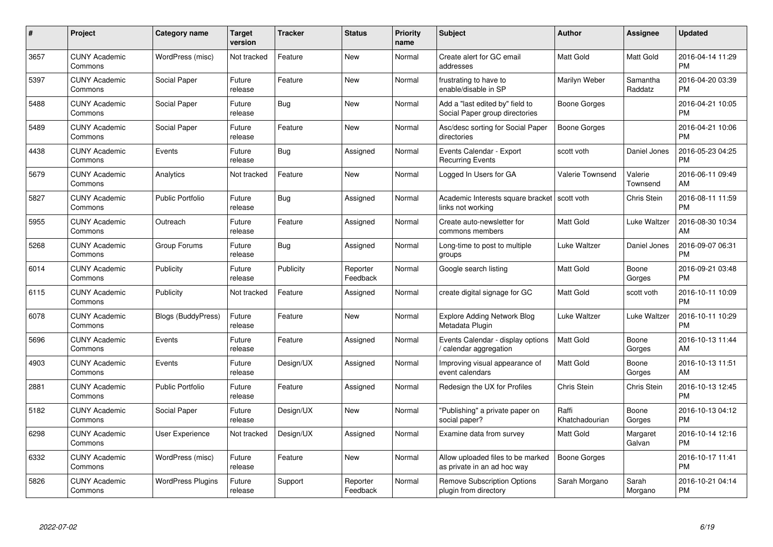| $\pmb{\#}$ | Project                         | <b>Category name</b>      | <b>Target</b><br>version | <b>Tracker</b> | <b>Status</b>        | Priority<br>name | <b>Subject</b>                                                    | <b>Author</b>           | <b>Assignee</b>     | <b>Updated</b>                |
|------------|---------------------------------|---------------------------|--------------------------|----------------|----------------------|------------------|-------------------------------------------------------------------|-------------------------|---------------------|-------------------------------|
| 3657       | <b>CUNY Academic</b><br>Commons | WordPress (misc)          | Not tracked              | Feature        | <b>New</b>           | Normal           | Create alert for GC email<br>addresses                            | <b>Matt Gold</b>        | Matt Gold           | 2016-04-14 11:29<br><b>PM</b> |
| 5397       | <b>CUNY Academic</b><br>Commons | Social Paper              | Future<br>release        | Feature        | <b>New</b>           | Normal           | frustrating to have to<br>enable/disable in SP                    | Marilyn Weber           | Samantha<br>Raddatz | 2016-04-20 03:39<br><b>PM</b> |
| 5488       | <b>CUNY Academic</b><br>Commons | Social Paper              | Future<br>release        | Bug            | <b>New</b>           | Normal           | Add a "last edited by" field to<br>Social Paper group directories | Boone Gorges            |                     | 2016-04-21 10:05<br><b>PM</b> |
| 5489       | <b>CUNY Academic</b><br>Commons | Social Paper              | Future<br>release        | Feature        | <b>New</b>           | Normal           | Asc/desc sorting for Social Paper<br>directories                  | Boone Gorges            |                     | 2016-04-21 10:06<br><b>PM</b> |
| 4438       | <b>CUNY Academic</b><br>Commons | Events                    | Future<br>release        | Bug            | Assigned             | Normal           | Events Calendar - Export<br><b>Recurring Events</b>               | scott voth              | Daniel Jones        | 2016-05-23 04:25<br><b>PM</b> |
| 5679       | <b>CUNY Academic</b><br>Commons | Analytics                 | Not tracked              | Feature        | New                  | Normal           | Logged In Users for GA                                            | Valerie Townsend        | Valerie<br>Townsend | 2016-06-11 09:49<br>AM        |
| 5827       | <b>CUNY Academic</b><br>Commons | <b>Public Portfolio</b>   | Future<br>release        | Bug            | Assigned             | Normal           | Academic Interests square bracket<br>links not working            | scott voth              | Chris Stein         | 2016-08-11 11:59<br><b>PM</b> |
| 5955       | <b>CUNY Academic</b><br>Commons | Outreach                  | Future<br>release        | Feature        | Assigned             | Normal           | Create auto-newsletter for<br>commons members                     | <b>Matt Gold</b>        | Luke Waltzer        | 2016-08-30 10:34<br>AM        |
| 5268       | <b>CUNY Academic</b><br>Commons | Group Forums              | Future<br>release        | <b>Bug</b>     | Assigned             | Normal           | Long-time to post to multiple<br>groups                           | Luke Waltzer            | Daniel Jones        | 2016-09-07 06:31<br><b>PM</b> |
| 6014       | <b>CUNY Academic</b><br>Commons | Publicity                 | Future<br>release        | Publicity      | Reporter<br>Feedback | Normal           | Google search listing                                             | <b>Matt Gold</b>        | Boone<br>Gorges     | 2016-09-21 03:48<br><b>PM</b> |
| 6115       | <b>CUNY Academic</b><br>Commons | Publicity                 | Not tracked              | Feature        | Assigned             | Normal           | create digital signage for GC                                     | Matt Gold               | scott voth          | 2016-10-11 10:09<br><b>PM</b> |
| 6078       | <b>CUNY Academic</b><br>Commons | <b>Blogs (BuddyPress)</b> | Future<br>release        | Feature        | New                  | Normal           | <b>Explore Adding Network Blog</b><br>Metadata Plugin             | Luke Waltzer            | Luke Waltzer        | 2016-10-11 10:29<br><b>PM</b> |
| 5696       | <b>CUNY Academic</b><br>Commons | Events                    | Future<br>release        | Feature        | Assigned             | Normal           | Events Calendar - display options<br>calendar aggregation /       | <b>Matt Gold</b>        | Boone<br>Gorges     | 2016-10-13 11:44<br>AM        |
| 4903       | <b>CUNY Academic</b><br>Commons | Events                    | Future<br>release        | Design/UX      | Assigned             | Normal           | Improving visual appearance of<br>event calendars                 | Matt Gold               | Boone<br>Gorges     | 2016-10-13 11:51<br>AM        |
| 2881       | <b>CUNY Academic</b><br>Commons | <b>Public Portfolio</b>   | Future<br>release        | Feature        | Assigned             | Normal           | Redesign the UX for Profiles                                      | Chris Stein             | Chris Stein         | 2016-10-13 12:45<br><b>PM</b> |
| 5182       | <b>CUNY Academic</b><br>Commons | Social Paper              | Future<br>release        | Design/UX      | <b>New</b>           | Normal           | "Publishing" a private paper on<br>social paper?                  | Raffi<br>Khatchadourian | Boone<br>Gorges     | 2016-10-13 04:12<br><b>PM</b> |
| 6298       | <b>CUNY Academic</b><br>Commons | User Experience           | Not tracked              | Design/UX      | Assigned             | Normal           | Examine data from survey                                          | Matt Gold               | Margaret<br>Galvan  | 2016-10-14 12:16<br><b>PM</b> |
| 6332       | <b>CUNY Academic</b><br>Commons | WordPress (misc)          | Future<br>release        | Feature        | New                  | Normal           | Allow uploaded files to be marked<br>as private in an ad hoc way  | <b>Boone Gorges</b>     |                     | 2016-10-17 11:41<br><b>PM</b> |
| 5826       | <b>CUNY Academic</b><br>Commons | <b>WordPress Plugins</b>  | Future<br>release        | Support        | Reporter<br>Feedback | Normal           | <b>Remove Subscription Options</b><br>plugin from directory       | Sarah Morgano           | Sarah<br>Morgano    | 2016-10-21 04:14<br><b>PM</b> |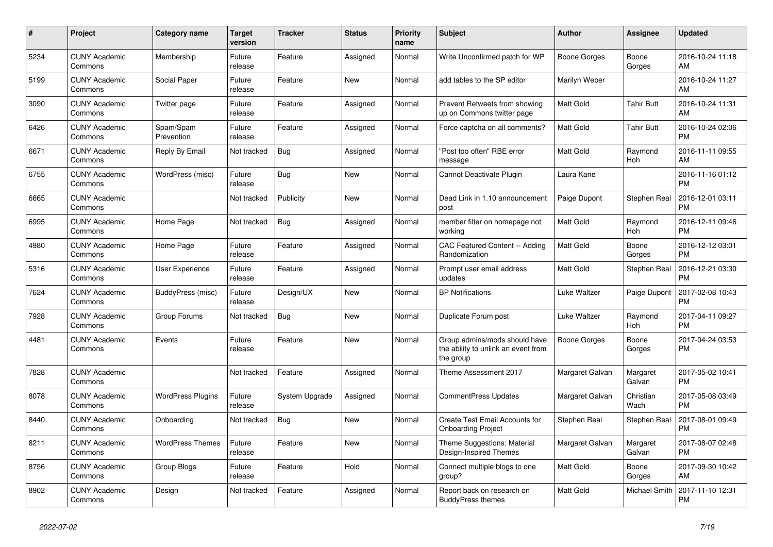| #    | Project                         | <b>Category name</b>     | <b>Target</b><br>version | <b>Tracker</b> | <b>Status</b> | <b>Priority</b><br>name | <b>Subject</b>                                                                    | <b>Author</b>       | Assignee            | <b>Updated</b>                |
|------|---------------------------------|--------------------------|--------------------------|----------------|---------------|-------------------------|-----------------------------------------------------------------------------------|---------------------|---------------------|-------------------------------|
| 5234 | <b>CUNY Academic</b><br>Commons | Membership               | Future<br>release        | Feature        | Assigned      | Normal                  | Write Unconfirmed patch for WP                                                    | Boone Gorges        | Boone<br>Gorges     | 2016-10-24 11:18<br>AM        |
| 5199 | <b>CUNY Academic</b><br>Commons | Social Paper             | Future<br>release        | Feature        | New           | Normal                  | add tables to the SP editor                                                       | Marilyn Weber       |                     | 2016-10-24 11:27<br>AM        |
| 3090 | <b>CUNY Academic</b><br>Commons | Twitter page             | Future<br>release        | Feature        | Assigned      | Normal                  | Prevent Retweets from showing<br>up on Commons twitter page                       | Matt Gold           | <b>Tahir Butt</b>   | 2016-10-24 11:31<br>AM        |
| 6426 | <b>CUNY Academic</b><br>Commons | Spam/Spam<br>Prevention  | Future<br>release        | Feature        | Assigned      | Normal                  | Force captcha on all comments?                                                    | <b>Matt Gold</b>    | <b>Tahir Butt</b>   | 2016-10-24 02:06<br><b>PM</b> |
| 6671 | <b>CUNY Academic</b><br>Commons | Reply By Email           | Not tracked              | Bug            | Assigned      | Normal                  | "Post too often" RBE error<br>message                                             | Matt Gold           | Raymond<br>Hoh      | 2016-11-11 09:55<br>AM        |
| 6755 | <b>CUNY Academic</b><br>Commons | WordPress (misc)         | Future<br>release        | Bug            | New           | Normal                  | Cannot Deactivate Plugin                                                          | Laura Kane          |                     | 2016-11-16 01:12<br><b>PM</b> |
| 6665 | <b>CUNY Academic</b><br>Commons |                          | Not tracked              | Publicity      | <b>New</b>    | Normal                  | Dead Link in 1.10 announcement<br>post                                            | Paige Dupont        | <b>Stephen Real</b> | 2016-12-01 03:11<br><b>PM</b> |
| 6995 | <b>CUNY Academic</b><br>Commons | Home Page                | Not tracked              | Bug            | Assigned      | Normal                  | member filter on homepage not<br>working                                          | <b>Matt Gold</b>    | Raymond<br>Hoh      | 2016-12-11 09:46<br><b>PM</b> |
| 4980 | <b>CUNY Academic</b><br>Commons | Home Page                | Future<br>release        | Feature        | Assigned      | Normal                  | CAC Featured Content -- Adding<br>Randomization                                   | Matt Gold           | Boone<br>Gorges     | 2016-12-12 03:01<br><b>PM</b> |
| 5316 | <b>CUNY Academic</b><br>Commons | User Experience          | Future<br>release        | Feature        | Assigned      | Normal                  | Prompt user email address<br>updates                                              | Matt Gold           | Stephen Real        | 2016-12-21 03:30<br><b>PM</b> |
| 7624 | <b>CUNY Academic</b><br>Commons | BuddyPress (misc)        | Future<br>release        | Design/UX      | <b>New</b>    | Normal                  | <b>BP Notifications</b>                                                           | Luke Waltzer        | Paige Dupont        | 2017-02-08 10:43<br><b>PM</b> |
| 7928 | <b>CUNY Academic</b><br>Commons | Group Forums             | Not tracked              | <b>Bug</b>     | <b>New</b>    | Normal                  | Duplicate Forum post                                                              | Luke Waltzer        | Raymond<br>Hoh      | 2017-04-11 09:27<br><b>PM</b> |
| 4481 | <b>CUNY Academic</b><br>Commons | Events                   | Future<br>release        | Feature        | New           | Normal                  | Group admins/mods should have<br>the ability to unlink an event from<br>the group | <b>Boone Gorges</b> | Boone<br>Gorges     | 2017-04-24 03:53<br><b>PM</b> |
| 7828 | <b>CUNY Academic</b><br>Commons |                          | Not tracked              | Feature        | Assigned      | Normal                  | Theme Assessment 2017                                                             | Margaret Galvan     | Margaret<br>Galvan  | 2017-05-02 10:41<br><b>PM</b> |
| 8078 | <b>CUNY Academic</b><br>Commons | <b>WordPress Plugins</b> | Future<br>release        | System Upgrade | Assigned      | Normal                  | <b>CommentPress Updates</b>                                                       | Margaret Galvan     | Christian<br>Wach   | 2017-05-08 03:49<br><b>PM</b> |
| 8440 | <b>CUNY Academic</b><br>Commons | Onboarding               | Not tracked              | <b>Bug</b>     | New           | Normal                  | Create Test Email Accounts for<br><b>Onboarding Project</b>                       | Stephen Real        | Stephen Real        | 2017-08-01 09:49<br><b>PM</b> |
| 8211 | <b>CUNY Academic</b><br>Commons | <b>WordPress Themes</b>  | Future<br>release        | Feature        | <b>New</b>    | Normal                  | Theme Suggestions: Material<br><b>Design-Inspired Themes</b>                      | Margaret Galvan     | Margaret<br>Galvan  | 2017-08-07 02:48<br><b>PM</b> |
| 8756 | <b>CUNY Academic</b><br>Commons | Group Blogs              | Future<br>release        | Feature        | Hold          | Normal                  | Connect multiple blogs to one<br>group?                                           | Matt Gold           | Boone<br>Gorges     | 2017-09-30 10:42<br>AM        |
| 8902 | <b>CUNY Academic</b><br>Commons | Design                   | Not tracked              | Feature        | Assigned      | Normal                  | Report back on research on<br><b>BuddyPress themes</b>                            | Matt Gold           | Michael Smith       | 2017-11-10 12:31<br><b>PM</b> |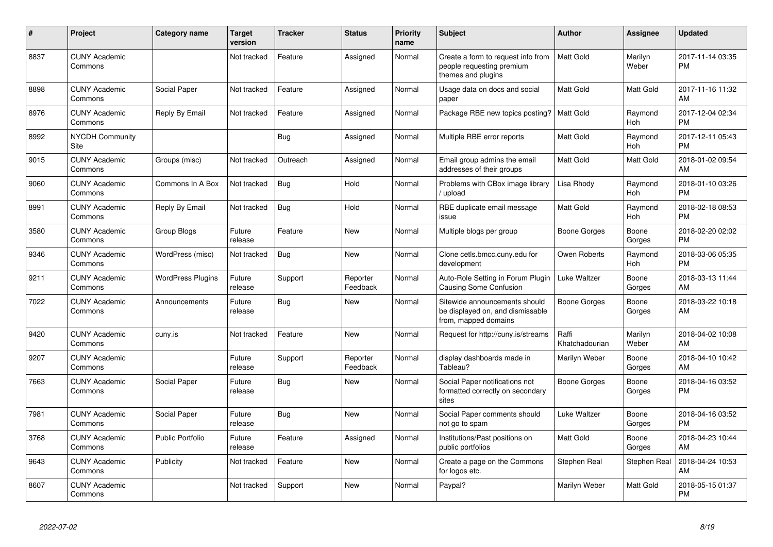| #    | Project                         | <b>Category name</b>     | <b>Target</b><br>version | <b>Tracker</b> | <b>Status</b>        | <b>Priority</b><br>name | <b>Subject</b>                                                                            | <b>Author</b>           | <b>Assignee</b>       | <b>Updated</b>                |
|------|---------------------------------|--------------------------|--------------------------|----------------|----------------------|-------------------------|-------------------------------------------------------------------------------------------|-------------------------|-----------------------|-------------------------------|
| 8837 | <b>CUNY Academic</b><br>Commons |                          | Not tracked              | Feature        | Assigned             | Normal                  | Create a form to request info from<br>people requesting premium<br>themes and plugins     | <b>Matt Gold</b>        | Marilyn<br>Weber      | 2017-11-14 03:35<br><b>PM</b> |
| 8898 | <b>CUNY Academic</b><br>Commons | Social Paper             | Not tracked              | Feature        | Assigned             | Normal                  | Usage data on docs and social<br>paper                                                    | Matt Gold               | <b>Matt Gold</b>      | 2017-11-16 11:32<br>AM        |
| 8976 | <b>CUNY Academic</b><br>Commons | Reply By Email           | Not tracked              | Feature        | Assigned             | Normal                  | Package RBE new topics posting?                                                           | <b>Matt Gold</b>        | Raymond<br><b>Hoh</b> | 2017-12-04 02:34<br>PM        |
| 8992 | <b>NYCDH Community</b><br>Site  |                          |                          | Bug            | Assigned             | Normal                  | Multiple RBE error reports                                                                | Matt Gold               | Raymond<br>Hoh        | 2017-12-11 05:43<br>PM        |
| 9015 | <b>CUNY Academic</b><br>Commons | Groups (misc)            | Not tracked              | Outreach       | Assigned             | Normal                  | Email group admins the email<br>addresses of their groups                                 | Matt Gold               | Matt Gold             | 2018-01-02 09:54<br>AM        |
| 9060 | <b>CUNY Academic</b><br>Commons | Commons In A Box         | Not tracked              | Bug            | Hold                 | Normal                  | Problems with CBox image library<br>/ upload                                              | Lisa Rhody              | Raymond<br><b>Hoh</b> | 2018-01-10 03:26<br><b>PM</b> |
| 8991 | <b>CUNY Academic</b><br>Commons | Reply By Email           | Not tracked              | Bug            | Hold                 | Normal                  | RBE duplicate email message<br>issue                                                      | Matt Gold               | Raymond<br><b>Hoh</b> | 2018-02-18 08:53<br><b>PM</b> |
| 3580 | <b>CUNY Academic</b><br>Commons | Group Blogs              | Future<br>release        | Feature        | <b>New</b>           | Normal                  | Multiple blogs per group                                                                  | Boone Gorges            | Boone<br>Gorges       | 2018-02-20 02:02<br><b>PM</b> |
| 9346 | <b>CUNY Academic</b><br>Commons | WordPress (misc)         | Not tracked              | Bug            | New                  | Normal                  | Clone cetls.bmcc.cuny.edu for<br>development                                              | Owen Roberts            | Raymond<br><b>Hoh</b> | 2018-03-06 05:35<br><b>PM</b> |
| 9211 | <b>CUNY Academic</b><br>Commons | <b>WordPress Plugins</b> | Future<br>release        | Support        | Reporter<br>Feedback | Normal                  | Auto-Role Setting in Forum Plugin<br>Causing Some Confusion                               | Luke Waltzer            | Boone<br>Gorges       | 2018-03-13 11:44<br>AM        |
| 7022 | <b>CUNY Academic</b><br>Commons | Announcements            | Future<br>release        | Bug            | <b>New</b>           | Normal                  | Sitewide announcements should<br>be displayed on, and dismissable<br>from, mapped domains | Boone Gorges            | Boone<br>Gorges       | 2018-03-22 10:18<br>AM        |
| 9420 | <b>CUNY Academic</b><br>Commons | cuny.is                  | Not tracked              | Feature        | New                  | Normal                  | Request for http://cuny.is/streams                                                        | Raffi<br>Khatchadourian | Marilyn<br>Weber      | 2018-04-02 10:08<br>AM        |
| 9207 | <b>CUNY Academic</b><br>Commons |                          | Future<br>release        | Support        | Reporter<br>Feedback | Normal                  | display dashboards made in<br>Tableau?                                                    | Marilyn Weber           | Boone<br>Gorges       | 2018-04-10 10:42<br>AM        |
| 7663 | <b>CUNY Academic</b><br>Commons | Social Paper             | Future<br>release        | <b>Bug</b>     | <b>New</b>           | Normal                  | Social Paper notifications not<br>formatted correctly on secondary<br>sites               | Boone Gorges            | Boone<br>Gorges       | 2018-04-16 03:52<br><b>PM</b> |
| 7981 | <b>CUNY Academic</b><br>Commons | Social Paper             | Future<br>release        | Bug            | <b>New</b>           | Normal                  | Social Paper comments should<br>not go to spam                                            | Luke Waltzer            | Boone<br>Gorges       | 2018-04-16 03:52<br><b>PM</b> |
| 3768 | <b>CUNY Academic</b><br>Commons | <b>Public Portfolio</b>  | Future<br>release        | Feature        | Assigned             | Normal                  | Institutions/Past positions on<br>public portfolios                                       | Matt Gold               | Boone<br>Gorges       | 2018-04-23 10:44<br>AM        |
| 9643 | <b>CUNY Academic</b><br>Commons | Publicity                | Not tracked              | Feature        | <b>New</b>           | Normal                  | Create a page on the Commons<br>for logos etc.                                            | Stephen Real            | <b>Stephen Real</b>   | 2018-04-24 10:53<br>AM        |
| 8607 | <b>CUNY Academic</b><br>Commons |                          | Not tracked              | Support        | <b>New</b>           | Normal                  | Paypal?                                                                                   | Marilyn Weber           | Matt Gold             | 2018-05-15 01:37<br><b>PM</b> |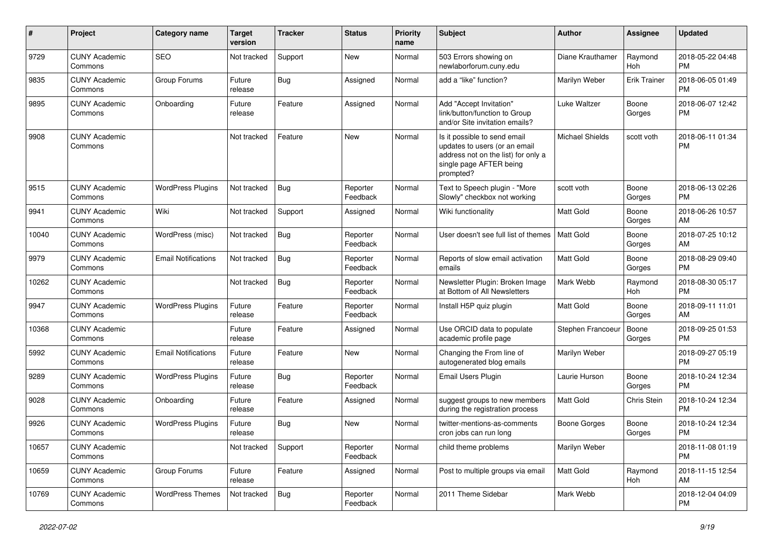| #     | Project                         | Category name              | <b>Target</b><br>version | Tracker    | <b>Status</b>        | <b>Priority</b><br>name | Subject                                                                                                                                      | Author                 | Assignee            | <b>Updated</b>                |
|-------|---------------------------------|----------------------------|--------------------------|------------|----------------------|-------------------------|----------------------------------------------------------------------------------------------------------------------------------------------|------------------------|---------------------|-------------------------------|
| 9729  | <b>CUNY Academic</b><br>Commons | <b>SEO</b>                 | Not tracked              | Support    | <b>New</b>           | Normal                  | 503 Errors showing on<br>newlaborforum.cuny.edu                                                                                              | Diane Krauthamer       | Raymond<br>Hoh      | 2018-05-22 04:48<br><b>PM</b> |
| 9835  | <b>CUNY Academic</b><br>Commons | Group Forums               | Future<br>release        | Bug        | Assigned             | Normal                  | add a "like" function?                                                                                                                       | Marilyn Weber          | <b>Erik Trainer</b> | 2018-06-05 01:49<br><b>PM</b> |
| 9895  | <b>CUNY Academic</b><br>Commons | Onboarding                 | Future<br>release        | Feature    | Assigned             | Normal                  | Add "Accept Invitation"<br>link/button/function to Group<br>and/or Site invitation emails?                                                   | Luke Waltzer           | Boone<br>Gorges     | 2018-06-07 12:42<br><b>PM</b> |
| 9908  | <b>CUNY Academic</b><br>Commons |                            | Not tracked              | Feature    | <b>New</b>           | Normal                  | Is it possible to send email<br>updates to users (or an email<br>address not on the list) for only a<br>single page AFTER being<br>prompted? | <b>Michael Shields</b> | scott voth          | 2018-06-11 01:34<br><b>PM</b> |
| 9515  | <b>CUNY Academic</b><br>Commons | <b>WordPress Plugins</b>   | Not tracked              | Bug        | Reporter<br>Feedback | Normal                  | Text to Speech plugin - "More<br>Slowly" checkbox not working                                                                                | scott voth             | Boone<br>Gorges     | 2018-06-13 02:26<br><b>PM</b> |
| 9941  | <b>CUNY Academic</b><br>Commons | Wiki                       | Not tracked              | Support    | Assigned             | Normal                  | Wiki functionality                                                                                                                           | <b>Matt Gold</b>       | Boone<br>Gorges     | 2018-06-26 10:57<br>AM        |
| 10040 | <b>CUNY Academic</b><br>Commons | WordPress (misc)           | Not tracked              | Bug        | Reporter<br>Feedback | Normal                  | User doesn't see full list of themes                                                                                                         | Matt Gold              | Boone<br>Gorges     | 2018-07-25 10:12<br>AM        |
| 9979  | <b>CUNY Academic</b><br>Commons | <b>Email Notifications</b> | Not tracked              | Bug        | Reporter<br>Feedback | Normal                  | Reports of slow email activation<br>emails                                                                                                   | Matt Gold              | Boone<br>Gorges     | 2018-08-29 09:40<br><b>PM</b> |
| 10262 | <b>CUNY Academic</b><br>Commons |                            | Not tracked              | Bug        | Reporter<br>Feedback | Normal                  | Newsletter Plugin: Broken Image<br>at Bottom of All Newsletters                                                                              | Mark Webb              | Raymond<br>Hoh      | 2018-08-30 05:17<br><b>PM</b> |
| 9947  | <b>CUNY Academic</b><br>Commons | <b>WordPress Plugins</b>   | Future<br>release        | Feature    | Reporter<br>Feedback | Normal                  | Install H5P quiz plugin                                                                                                                      | Matt Gold              | Boone<br>Gorges     | 2018-09-11 11:01<br>AM        |
| 10368 | <b>CUNY Academic</b><br>Commons |                            | Future<br>release        | Feature    | Assigned             | Normal                  | Use ORCID data to populate<br>academic profile page                                                                                          | Stephen Francoeur      | Boone<br>Gorges     | 2018-09-25 01:53<br><b>PM</b> |
| 5992  | <b>CUNY Academic</b><br>Commons | <b>Email Notifications</b> | Future<br>release        | Feature    | <b>New</b>           | Normal                  | Changing the From line of<br>autogenerated blog emails                                                                                       | Marilyn Weber          |                     | 2018-09-27 05:19<br><b>PM</b> |
| 9289  | <b>CUNY Academic</b><br>Commons | <b>WordPress Plugins</b>   | Future<br>release        | <b>Bug</b> | Reporter<br>Feedback | Normal                  | <b>Email Users Plugin</b>                                                                                                                    | Laurie Hurson          | Boone<br>Gorges     | 2018-10-24 12:34<br><b>PM</b> |
| 9028  | <b>CUNY Academic</b><br>Commons | Onboarding                 | Future<br>release        | Feature    | Assigned             | Normal                  | suggest groups to new members<br>during the registration process                                                                             | <b>Matt Gold</b>       | Chris Stein         | 2018-10-24 12:34<br><b>PM</b> |
| 9926  | <b>CUNY Academic</b><br>Commons | <b>WordPress Plugins</b>   | Future<br>release        | Bug        | <b>New</b>           | Normal                  | twitter-mentions-as-comments<br>cron jobs can run long                                                                                       | Boone Gorges           | Boone<br>Gorges     | 2018-10-24 12:34<br><b>PM</b> |
| 10657 | <b>CUNY Academic</b><br>Commons |                            | Not tracked              | Support    | Reporter<br>Feedback | Normal                  | child theme problems                                                                                                                         | Marilyn Weber          |                     | 2018-11-08 01:19<br><b>PM</b> |
| 10659 | <b>CUNY Academic</b><br>Commons | Group Forums               | Future<br>release        | Feature    | Assigned             | Normal                  | Post to multiple groups via email                                                                                                            | Matt Gold              | Raymond<br>Hoh      | 2018-11-15 12:54<br>AM        |
| 10769 | <b>CUNY Academic</b><br>Commons | <b>WordPress Themes</b>    | Not tracked              | <b>Bug</b> | Reporter<br>Feedback | Normal                  | 2011 Theme Sidebar                                                                                                                           | Mark Webb              |                     | 2018-12-04 04:09<br><b>PM</b> |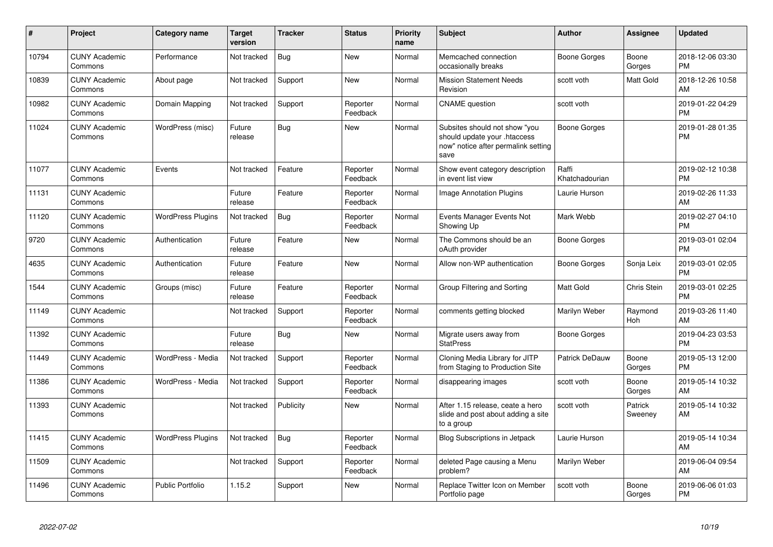| $\pmb{\sharp}$ | Project                         | <b>Category name</b>     | <b>Target</b><br>version | <b>Tracker</b> | <b>Status</b>        | <b>Priority</b><br>name | <b>Subject</b>                                                                                               | <b>Author</b>           | Assignee           | <b>Updated</b>                |
|----------------|---------------------------------|--------------------------|--------------------------|----------------|----------------------|-------------------------|--------------------------------------------------------------------------------------------------------------|-------------------------|--------------------|-------------------------------|
| 10794          | <b>CUNY Academic</b><br>Commons | Performance              | Not tracked              | Bug            | <b>New</b>           | Normal                  | Memcached connection<br>occasionally breaks                                                                  | Boone Gorges            | Boone<br>Gorges    | 2018-12-06 03:30<br><b>PM</b> |
| 10839          | <b>CUNY Academic</b><br>Commons | About page               | Not tracked              | Support        | <b>New</b>           | Normal                  | <b>Mission Statement Needs</b><br>Revision                                                                   | scott voth              | Matt Gold          | 2018-12-26 10:58<br>AM        |
| 10982          | <b>CUNY Academic</b><br>Commons | Domain Mapping           | Not tracked              | Support        | Reporter<br>Feedback | Normal                  | <b>CNAME</b> question                                                                                        | scott voth              |                    | 2019-01-22 04:29<br><b>PM</b> |
| 11024          | <b>CUNY Academic</b><br>Commons | WordPress (misc)         | Future<br>release        | Bug            | <b>New</b>           | Normal                  | Subsites should not show "you<br>should update your .htaccess<br>now" notice after permalink setting<br>save | <b>Boone Gorges</b>     |                    | 2019-01-28 01:35<br><b>PM</b> |
| 11077          | <b>CUNY Academic</b><br>Commons | Events                   | Not tracked              | Feature        | Reporter<br>Feedback | Normal                  | Show event category description<br>in event list view                                                        | Raffi<br>Khatchadourian |                    | 2019-02-12 10:38<br><b>PM</b> |
| 11131          | <b>CUNY Academic</b><br>Commons |                          | Future<br>release        | Feature        | Reporter<br>Feedback | Normal                  | <b>Image Annotation Plugins</b>                                                                              | Laurie Hurson           |                    | 2019-02-26 11:33<br>AM        |
| 11120          | <b>CUNY Academic</b><br>Commons | <b>WordPress Plugins</b> | Not tracked              | <b>Bug</b>     | Reporter<br>Feedback | Normal                  | Events Manager Events Not<br>Showing Up                                                                      | Mark Webb               |                    | 2019-02-27 04:10<br><b>PM</b> |
| 9720           | <b>CUNY Academic</b><br>Commons | Authentication           | Future<br>release        | Feature        | <b>New</b>           | Normal                  | The Commons should be an<br>oAuth provider                                                                   | Boone Gorges            |                    | 2019-03-01 02:04<br><b>PM</b> |
| 4635           | <b>CUNY Academic</b><br>Commons | Authentication           | Future<br>release        | Feature        | <b>New</b>           | Normal                  | Allow non-WP authentication                                                                                  | Boone Gorges            | Sonja Leix         | 2019-03-01 02:05<br><b>PM</b> |
| 1544           | <b>CUNY Academic</b><br>Commons | Groups (misc)            | Future<br>release        | Feature        | Reporter<br>Feedback | Normal                  | Group Filtering and Sorting                                                                                  | Matt Gold               | Chris Stein        | 2019-03-01 02:25<br><b>PM</b> |
| 11149          | <b>CUNY Academic</b><br>Commons |                          | Not tracked              | Support        | Reporter<br>Feedback | Normal                  | comments getting blocked                                                                                     | Marilyn Weber           | Raymond<br>Hoh     | 2019-03-26 11:40<br>AM        |
| 11392          | <b>CUNY Academic</b><br>Commons |                          | Future<br>release        | Bug            | <b>New</b>           | Normal                  | Migrate users away from<br><b>StatPress</b>                                                                  | <b>Boone Gorges</b>     |                    | 2019-04-23 03:53<br>PM        |
| 11449          | <b>CUNY Academic</b><br>Commons | WordPress - Media        | Not tracked              | Support        | Reporter<br>Feedback | Normal                  | Cloning Media Library for JITP<br>from Staging to Production Site                                            | Patrick DeDauw          | Boone<br>Gorges    | 2019-05-13 12:00<br><b>PM</b> |
| 11386          | <b>CUNY Academic</b><br>Commons | WordPress - Media        | Not tracked              | Support        | Reporter<br>Feedback | Normal                  | disappearing images                                                                                          | scott voth              | Boone<br>Gorges    | 2019-05-14 10:32<br>AM        |
| 11393          | <b>CUNY Academic</b><br>Commons |                          | Not tracked              | Publicity      | <b>New</b>           | Normal                  | After 1.15 release, ceate a hero<br>slide and post about adding a site<br>to a group                         | scott voth              | Patrick<br>Sweeney | 2019-05-14 10:32<br>AM.       |
| 11415          | <b>CUNY Academic</b><br>Commons | <b>WordPress Plugins</b> | Not tracked              | <b>Bug</b>     | Reporter<br>Feedback | Normal                  | <b>Blog Subscriptions in Jetpack</b>                                                                         | Laurie Hurson           |                    | 2019-05-14 10:34<br>AM        |
| 11509          | <b>CUNY Academic</b><br>Commons |                          | Not tracked              | Support        | Reporter<br>Feedback | Normal                  | deleted Page causing a Menu<br>problem?                                                                      | Marilyn Weber           |                    | 2019-06-04 09:54<br>AM        |
| 11496          | <b>CUNY Academic</b><br>Commons | <b>Public Portfolio</b>  | 1.15.2                   | Support        | <b>New</b>           | Normal                  | Replace Twitter Icon on Member<br>Portfolio page                                                             | scott voth              | Boone<br>Gorges    | 2019-06-06 01:03<br>PM        |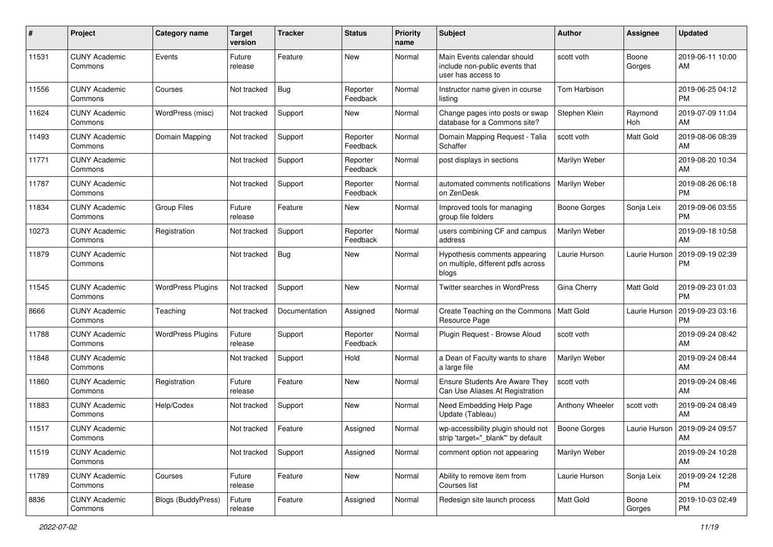| #     | Project                         | <b>Category name</b>     | <b>Target</b><br>version | <b>Tracker</b> | <b>Status</b>        | Priority<br>name | <b>Subject</b>                                                                      | Author              | <b>Assignee</b> | <b>Updated</b>                |
|-------|---------------------------------|--------------------------|--------------------------|----------------|----------------------|------------------|-------------------------------------------------------------------------------------|---------------------|-----------------|-------------------------------|
| 11531 | <b>CUNY Academic</b><br>Commons | Events                   | Future<br>release        | Feature        | <b>New</b>           | Normal           | Main Events calendar should<br>include non-public events that<br>user has access to | scott voth          | Boone<br>Gorges | 2019-06-11 10:00<br>AM        |
| 11556 | <b>CUNY Academic</b><br>Commons | Courses                  | Not tracked              | Bug            | Reporter<br>Feedback | Normal           | Instructor name given in course<br>listing                                          | Tom Harbison        |                 | 2019-06-25 04:12<br><b>PM</b> |
| 11624 | <b>CUNY Academic</b><br>Commons | WordPress (misc)         | Not tracked              | Support        | New                  | Normal           | Change pages into posts or swap<br>database for a Commons site?                     | Stephen Klein       | Raymond<br>Hoh  | 2019-07-09 11:04<br>AM        |
| 11493 | <b>CUNY Academic</b><br>Commons | Domain Mapping           | Not tracked              | Support        | Reporter<br>Feedback | Normal           | Domain Mapping Request - Talia<br>Schaffer                                          | scott voth          | Matt Gold       | 2019-08-06 08:39<br>AM        |
| 11771 | <b>CUNY Academic</b><br>Commons |                          | Not tracked              | Support        | Reporter<br>Feedback | Normal           | post displays in sections                                                           | Marilyn Weber       |                 | 2019-08-20 10:34<br>AM        |
| 11787 | <b>CUNY Academic</b><br>Commons |                          | Not tracked              | Support        | Reporter<br>Feedback | Normal           | automated comments notifications<br>on ZenDesk                                      | Marilyn Weber       |                 | 2019-08-26 06:18<br><b>PM</b> |
| 11834 | <b>CUNY Academic</b><br>Commons | <b>Group Files</b>       | Future<br>release        | Feature        | New                  | Normal           | Improved tools for managing<br>group file folders                                   | <b>Boone Gorges</b> | Sonja Leix      | 2019-09-06 03:55<br><b>PM</b> |
| 10273 | <b>CUNY Academic</b><br>Commons | Registration             | Not tracked              | Support        | Reporter<br>Feedback | Normal           | users combining CF and campus<br>address                                            | Marilyn Weber       |                 | 2019-09-18 10:58<br>AM        |
| 11879 | <b>CUNY Academic</b><br>Commons |                          | Not tracked              | <b>Bug</b>     | New                  | Normal           | Hypothesis comments appearing<br>on multiple, different pdfs across<br>blogs        | Laurie Hurson       | Laurie Hurson   | 2019-09-19 02:39<br><b>PM</b> |
| 11545 | <b>CUNY Academic</b><br>Commons | <b>WordPress Plugins</b> | Not tracked              | Support        | <b>New</b>           | Normal           | Twitter searches in WordPress                                                       | Gina Cherry         | Matt Gold       | 2019-09-23 01:03<br><b>PM</b> |
| 8666  | <b>CUNY Academic</b><br>Commons | Teaching                 | Not tracked              | Documentation  | Assigned             | Normal           | Create Teaching on the Commons<br>Resource Page                                     | Matt Gold           | Laurie Hurson   | 2019-09-23 03:16<br><b>PM</b> |
| 11788 | <b>CUNY Academic</b><br>Commons | <b>WordPress Plugins</b> | Future<br>release        | Support        | Reporter<br>Feedback | Normal           | Plugin Request - Browse Aloud                                                       | scott voth          |                 | 2019-09-24 08:42<br>AM        |
| 11848 | <b>CUNY Academic</b><br>Commons |                          | Not tracked              | Support        | Hold                 | Normal           | a Dean of Faculty wants to share<br>a large file                                    | Marilyn Weber       |                 | 2019-09-24 08:44<br>AM        |
| 11860 | <b>CUNY Academic</b><br>Commons | Registration             | Future<br>release        | Feature        | <b>New</b>           | Normal           | <b>Ensure Students Are Aware They</b><br>Can Use Aliases At Registration            | scott voth          |                 | 2019-09-24 08:46<br>AM        |
| 11883 | <b>CUNY Academic</b><br>Commons | Help/Codex               | Not tracked              | Support        | New                  | Normal           | Need Embedding Help Page<br>Update (Tableau)                                        | Anthony Wheeler     | scott voth      | 2019-09-24 08:49<br>AM        |
| 11517 | <b>CUNY Academic</b><br>Commons |                          | Not tracked              | Feature        | Assigned             | Normal           | wp-accessibility plugin should not<br>strip 'target="_blank"' by default            | Boone Gorges        | Laurie Hurson   | 2019-09-24 09:57<br>AM        |
| 11519 | <b>CUNY Academic</b><br>Commons |                          | Not tracked              | Support        | Assigned             | Normal           | comment option not appearing                                                        | Marilyn Weber       |                 | 2019-09-24 10:28<br>AM        |
| 11789 | <b>CUNY Academic</b><br>Commons | Courses                  | Future<br>release        | Feature        | New                  | Normal           | Ability to remove item from<br>Courses list                                         | Laurie Hurson       | Sonja Leix      | 2019-09-24 12:28<br><b>PM</b> |
| 8836  | <b>CUNY Academic</b><br>Commons | Blogs (BuddyPress)       | Future<br>release        | Feature        | Assigned             | Normal           | Redesign site launch process                                                        | Matt Gold           | Boone<br>Gorges | 2019-10-03 02:49<br><b>PM</b> |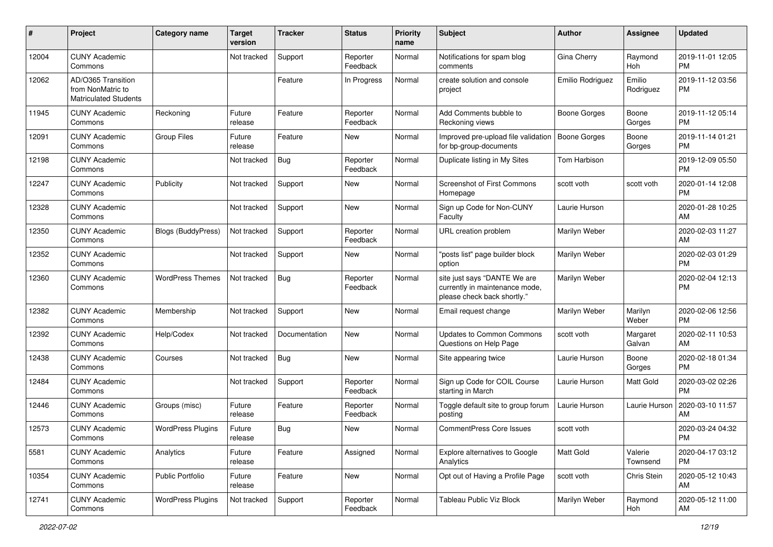| #     | Project                                                                 | <b>Category name</b>      | <b>Target</b><br>version | <b>Tracker</b> | <b>Status</b>        | Priority<br>name | Subject                                                                                       | Author              | <b>Assignee</b>     | <b>Updated</b>                |
|-------|-------------------------------------------------------------------------|---------------------------|--------------------------|----------------|----------------------|------------------|-----------------------------------------------------------------------------------------------|---------------------|---------------------|-------------------------------|
| 12004 | <b>CUNY Academic</b><br>Commons                                         |                           | Not tracked              | Support        | Reporter<br>Feedback | Normal           | Notifications for spam blog<br>comments                                                       | Gina Cherry         | Raymond<br>Hoh      | 2019-11-01 12:05<br><b>PM</b> |
| 12062 | AD/O365 Transition<br>from NonMatric to<br><b>Matriculated Students</b> |                           |                          | Feature        | In Progress          | Normal           | create solution and console<br>project                                                        | Emilio Rodriguez    | Emilio<br>Rodriguez | 2019-11-12 03:56<br><b>PM</b> |
| 11945 | <b>CUNY Academic</b><br>Commons                                         | Reckoning                 | Future<br>release        | Feature        | Reporter<br>Feedback | Normal           | Add Comments bubble to<br>Reckoning views                                                     | <b>Boone Gorges</b> | Boone<br>Gorges     | 2019-11-12 05:14<br><b>PM</b> |
| 12091 | <b>CUNY Academic</b><br>Commons                                         | <b>Group Files</b>        | Future<br>release        | Feature        | <b>New</b>           | Normal           | Improved pre-upload file validation<br>for bp-group-documents                                 | <b>Boone Gorges</b> | Boone<br>Gorges     | 2019-11-14 01:21<br><b>PM</b> |
| 12198 | <b>CUNY Academic</b><br>Commons                                         |                           | Not tracked              | Bug            | Reporter<br>Feedback | Normal           | Duplicate listing in My Sites                                                                 | Tom Harbison        |                     | 2019-12-09 05:50<br><b>PM</b> |
| 12247 | <b>CUNY Academic</b><br>Commons                                         | Publicity                 | Not tracked              | Support        | New                  | Normal           | <b>Screenshot of First Commons</b><br>Homepage                                                | scott voth          | scott voth          | 2020-01-14 12:08<br><b>PM</b> |
| 12328 | <b>CUNY Academic</b><br>Commons                                         |                           | Not tracked              | Support        | New                  | Normal           | Sign up Code for Non-CUNY<br>Faculty                                                          | Laurie Hurson       |                     | 2020-01-28 10:25<br>AM        |
| 12350 | <b>CUNY Academic</b><br>Commons                                         | <b>Blogs (BuddyPress)</b> | Not tracked              | Support        | Reporter<br>Feedback | Normal           | URL creation problem                                                                          | Marilyn Weber       |                     | 2020-02-03 11:27<br>AM        |
| 12352 | <b>CUNY Academic</b><br>Commons                                         |                           | Not tracked              | Support        | <b>New</b>           | Normal           | "posts list" page builder block<br>option                                                     | Marilyn Weber       |                     | 2020-02-03 01:29<br><b>PM</b> |
| 12360 | <b>CUNY Academic</b><br>Commons                                         | <b>WordPress Themes</b>   | Not tracked              | Bug            | Reporter<br>Feedback | Normal           | site just says "DANTE We are<br>currently in maintenance mode,<br>please check back shortly." | Marilyn Weber       |                     | 2020-02-04 12:13<br><b>PM</b> |
| 12382 | <b>CUNY Academic</b><br>Commons                                         | Membership                | Not tracked              | Support        | New                  | Normal           | Email request change                                                                          | Marilyn Weber       | Marilyn<br>Weber    | 2020-02-06 12:56<br><b>PM</b> |
| 12392 | <b>CUNY Academic</b><br>Commons                                         | Help/Codex                | Not tracked              | Documentation  | <b>New</b>           | Normal           | <b>Updates to Common Commons</b><br>Questions on Help Page                                    | scott voth          | Margaret<br>Galvan  | 2020-02-11 10:53<br>AM        |
| 12438 | <b>CUNY Academic</b><br>Commons                                         | Courses                   | Not tracked              | Bug            | <b>New</b>           | Normal           | Site appearing twice                                                                          | Laurie Hurson       | Boone<br>Gorges     | 2020-02-18 01:34<br><b>PM</b> |
| 12484 | <b>CUNY Academic</b><br>Commons                                         |                           | Not tracked              | Support        | Reporter<br>Feedback | Normal           | Sign up Code for COIL Course<br>starting in March                                             | Laurie Hurson       | Matt Gold           | 2020-03-02 02:26<br><b>PM</b> |
| 12446 | <b>CUNY Academic</b><br>Commons                                         | Groups (misc)             | Future<br>release        | Feature        | Reporter<br>Feedback | Normal           | Toggle default site to group forum<br>posting                                                 | Laurie Hurson       | Laurie Hurson       | 2020-03-10 11:57<br>AM        |
| 12573 | <b>CUNY Academic</b><br>Commons                                         | <b>WordPress Plugins</b>  | Future<br>release        | Bug            | New                  | Normal           | <b>CommentPress Core Issues</b>                                                               | scott voth          |                     | 2020-03-24 04:32<br>PM        |
| 5581  | <b>CUNY Academic</b><br>Commons                                         | Analytics                 | Future<br>release        | Feature        | Assigned             | Normal           | <b>Explore alternatives to Google</b><br>Analytics                                            | Matt Gold           | Valerie<br>Townsend | 2020-04-17 03:12<br><b>PM</b> |
| 10354 | <b>CUNY Academic</b><br>Commons                                         | Public Portfolio          | Future<br>release        | Feature        | New                  | Normal           | Opt out of Having a Profile Page                                                              | scott voth          | Chris Stein         | 2020-05-12 10:43<br>AM        |
| 12741 | <b>CUNY Academic</b><br>Commons                                         | <b>WordPress Plugins</b>  | Not tracked              | Support        | Reporter<br>Feedback | Normal           | Tableau Public Viz Block                                                                      | Marilyn Weber       | Raymond<br>Hoh      | 2020-05-12 11:00<br>AM        |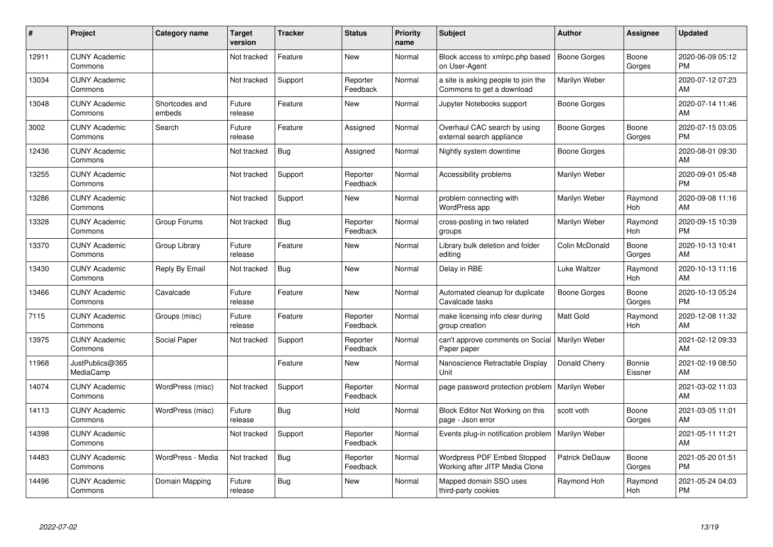| #     | Project                         | <b>Category name</b>     | <b>Target</b><br>version | <b>Tracker</b> | <b>Status</b>        | <b>Priority</b><br>name | <b>Subject</b>                                                   | <b>Author</b>       | <b>Assignee</b>   | <b>Updated</b>                |
|-------|---------------------------------|--------------------------|--------------------------|----------------|----------------------|-------------------------|------------------------------------------------------------------|---------------------|-------------------|-------------------------------|
| 12911 | <b>CUNY Academic</b><br>Commons |                          | Not tracked              | Feature        | <b>New</b>           | Normal                  | Block access to xmlrpc.php based<br>on User-Agent                | <b>Boone Gorges</b> | Boone<br>Gorges   | 2020-06-09 05:12<br><b>PM</b> |
| 13034 | <b>CUNY Academic</b><br>Commons |                          | Not tracked              | Support        | Reporter<br>Feedback | Normal                  | a site is asking people to join the<br>Commons to get a download | Marilyn Weber       |                   | 2020-07-12 07:23<br>AM        |
| 13048 | <b>CUNY Academic</b><br>Commons | Shortcodes and<br>embeds | Future<br>release        | Feature        | <b>New</b>           | Normal                  | Jupyter Notebooks support                                        | Boone Gorges        |                   | 2020-07-14 11:46<br>AM        |
| 3002  | <b>CUNY Academic</b><br>Commons | Search                   | Future<br>release        | Feature        | Assigned             | Normal                  | Overhaul CAC search by using<br>external search appliance        | Boone Gorges        | Boone<br>Gorges   | 2020-07-15 03:05<br><b>PM</b> |
| 12436 | <b>CUNY Academic</b><br>Commons |                          | Not tracked              | Bug            | Assigned             | Normal                  | Nightly system downtime                                          | Boone Gorges        |                   | 2020-08-01 09:30<br>AM        |
| 13255 | <b>CUNY Academic</b><br>Commons |                          | Not tracked              | Support        | Reporter<br>Feedback | Normal                  | Accessibility problems                                           | Marilyn Weber       |                   | 2020-09-01 05:48<br><b>PM</b> |
| 13286 | <b>CUNY Academic</b><br>Commons |                          | Not tracked              | Support        | <b>New</b>           | Normal                  | problem connecting with<br>WordPress app                         | Marilyn Weber       | Raymond<br>Hoh    | 2020-09-08 11:16<br>AM        |
| 13328 | <b>CUNY Academic</b><br>Commons | Group Forums             | Not tracked              | <b>Bug</b>     | Reporter<br>Feedback | Normal                  | cross-posting in two related<br>groups                           | Marilyn Weber       | Raymond<br>Hoh    | 2020-09-15 10:39<br><b>PM</b> |
| 13370 | <b>CUNY Academic</b><br>Commons | Group Library            | Future<br>release        | Feature        | New                  | Normal                  | Library bulk deletion and folder<br>editing                      | Colin McDonald      | Boone<br>Gorges   | 2020-10-13 10:41<br>AM        |
| 13430 | <b>CUNY Academic</b><br>Commons | Reply By Email           | Not tracked              | Bug            | <b>New</b>           | Normal                  | Delay in RBE                                                     | Luke Waltzer        | Raymond<br>Hoh    | 2020-10-13 11:16<br>AM        |
| 13466 | <b>CUNY Academic</b><br>Commons | Cavalcade                | Future<br>release        | Feature        | New                  | Normal                  | Automated cleanup for duplicate<br>Cavalcade tasks               | Boone Gorges        | Boone<br>Gorges   | 2020-10-13 05:24<br><b>PM</b> |
| 7115  | <b>CUNY Academic</b><br>Commons | Groups (misc)            | Future<br>release        | Feature        | Reporter<br>Feedback | Normal                  | make licensing info clear during<br>group creation               | <b>Matt Gold</b>    | Raymond<br>Hoh    | 2020-12-08 11:32<br>AM        |
| 13975 | <b>CUNY Academic</b><br>Commons | Social Paper             | Not tracked              | Support        | Reporter<br>Feedback | Normal                  | can't approve comments on Social<br>Paper paper                  | Marilyn Weber       |                   | 2021-02-12 09:33<br>AM        |
| 11968 | JustPublics@365<br>MediaCamp    |                          |                          | Feature        | New                  | Normal                  | Nanoscience Retractable Display<br>Unit                          | Donald Cherry       | Bonnie<br>Eissner | 2021-02-19 08:50<br>AM        |
| 14074 | <b>CUNY Academic</b><br>Commons | WordPress (misc)         | Not tracked              | Support        | Reporter<br>Feedback | Normal                  | page password protection problem                                 | Marilyn Weber       |                   | 2021-03-02 11:03<br>AM        |
| 14113 | <b>CUNY Academic</b><br>Commons | WordPress (misc)         | Future<br>release        | Bug            | Hold                 | Normal                  | Block Editor Not Working on this<br>page - Json error            | scott voth          | Boone<br>Gorges   | 2021-03-05 11:01<br>AM        |
| 14398 | <b>CUNY Academic</b><br>Commons |                          | Not tracked              | Support        | Reporter<br>Feedback | Normal                  | Events plug-in notification problem   Marilyn Weber              |                     |                   | 2021-05-11 11:21<br>AM        |
| 14483 | <b>CUNY Academic</b><br>Commons | WordPress - Media        | Not tracked              | Bug            | Reporter<br>Feedback | Normal                  | Wordpress PDF Embed Stopped<br>Working after JITP Media Clone    | Patrick DeDauw      | Boone<br>Gorges   | 2021-05-20 01:51<br><b>PM</b> |
| 14496 | <b>CUNY Academic</b><br>Commons | Domain Mapping           | Future<br>release        | Bug            | <b>New</b>           | Normal                  | Mapped domain SSO uses<br>third-party cookies                    | Raymond Hoh         | Raymond<br>Hoh    | 2021-05-24 04:03<br><b>PM</b> |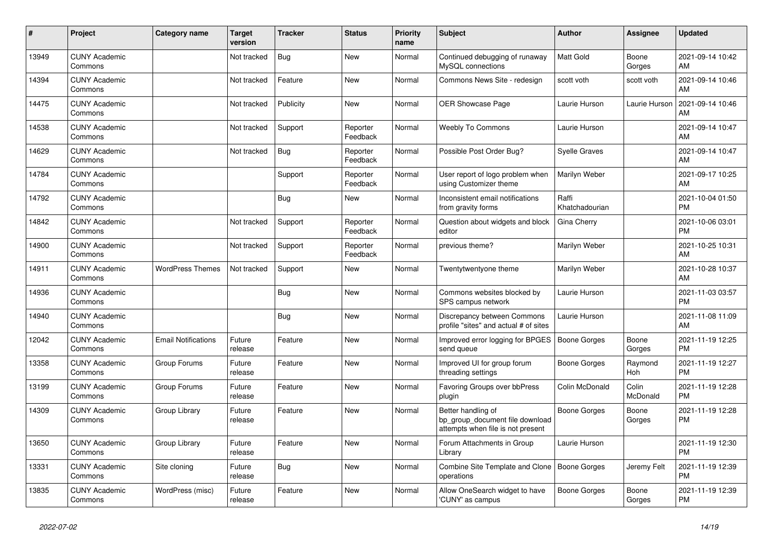| #     | Project                         | <b>Category name</b>       | <b>Target</b><br>version | <b>Tracker</b> | <b>Status</b>        | <b>Priority</b><br>name | <b>Subject</b>                                                                             | <b>Author</b>           | Assignee          | <b>Updated</b>                |
|-------|---------------------------------|----------------------------|--------------------------|----------------|----------------------|-------------------------|--------------------------------------------------------------------------------------------|-------------------------|-------------------|-------------------------------|
| 13949 | <b>CUNY Academic</b><br>Commons |                            | Not tracked              | Bug            | New                  | Normal                  | Continued debugging of runaway<br>MySQL connections                                        | <b>Matt Gold</b>        | Boone<br>Gorges   | 2021-09-14 10:42<br>AM        |
| 14394 | <b>CUNY Academic</b><br>Commons |                            | Not tracked              | Feature        | New                  | Normal                  | Commons News Site - redesign                                                               | scott voth              | scott voth        | 2021-09-14 10:46<br>AM        |
| 14475 | <b>CUNY Academic</b><br>Commons |                            | Not tracked              | Publicity      | <b>New</b>           | Normal                  | OER Showcase Page                                                                          | Laurie Hurson           | Laurie Hurson     | 2021-09-14 10:46<br>AM        |
| 14538 | <b>CUNY Academic</b><br>Commons |                            | Not tracked              | Support        | Reporter<br>Feedback | Normal                  | <b>Weebly To Commons</b>                                                                   | Laurie Hurson           |                   | 2021-09-14 10:47<br>AM        |
| 14629 | <b>CUNY Academic</b><br>Commons |                            | Not tracked              | Bug            | Reporter<br>Feedback | Normal                  | Possible Post Order Bug?                                                                   | <b>Syelle Graves</b>    |                   | 2021-09-14 10:47<br>AM        |
| 14784 | <b>CUNY Academic</b><br>Commons |                            |                          | Support        | Reporter<br>Feedback | Normal                  | User report of logo problem when<br>using Customizer theme                                 | Marilyn Weber           |                   | 2021-09-17 10:25<br>AM        |
| 14792 | <b>CUNY Academic</b><br>Commons |                            |                          | Bug            | <b>New</b>           | Normal                  | Inconsistent email notifications<br>from gravity forms                                     | Raffi<br>Khatchadourian |                   | 2021-10-04 01:50<br><b>PM</b> |
| 14842 | <b>CUNY Academic</b><br>Commons |                            | Not tracked              | Support        | Reporter<br>Feedback | Normal                  | Question about widgets and block<br>editor                                                 | Gina Cherry             |                   | 2021-10-06 03:01<br><b>PM</b> |
| 14900 | <b>CUNY Academic</b><br>Commons |                            | Not tracked              | Support        | Reporter<br>Feedback | Normal                  | previous theme?                                                                            | Marilyn Weber           |                   | 2021-10-25 10:31<br>AM        |
| 14911 | <b>CUNY Academic</b><br>Commons | <b>WordPress Themes</b>    | Not tracked              | Support        | New                  | Normal                  | Twentytwentyone theme                                                                      | Marilyn Weber           |                   | 2021-10-28 10:37<br>AM        |
| 14936 | <b>CUNY Academic</b><br>Commons |                            |                          | <b>Bug</b>     | <b>New</b>           | Normal                  | Commons websites blocked by<br>SPS campus network                                          | Laurie Hurson           |                   | 2021-11-03 03:57<br><b>PM</b> |
| 14940 | <b>CUNY Academic</b><br>Commons |                            |                          | <b>Bug</b>     | <b>New</b>           | Normal                  | Discrepancy between Commons<br>profile "sites" and actual # of sites                       | Laurie Hurson           |                   | 2021-11-08 11:09<br>AM        |
| 12042 | <b>CUNY Academic</b><br>Commons | <b>Email Notifications</b> | Future<br>release        | Feature        | <b>New</b>           | Normal                  | Improved error logging for BPGES<br>send queue                                             | Boone Gorges            | Boone<br>Gorges   | 2021-11-19 12:25<br><b>PM</b> |
| 13358 | <b>CUNY Academic</b><br>Commons | Group Forums               | Future<br>release        | Feature        | <b>New</b>           | Normal                  | Improved UI for group forum<br>threading settings                                          | Boone Gorges            | Raymond<br>Hoh    | 2021-11-19 12:27<br><b>PM</b> |
| 13199 | <b>CUNY Academic</b><br>Commons | Group Forums               | Future<br>release        | Feature        | New                  | Normal                  | <b>Favoring Groups over bbPress</b><br>plugin                                              | Colin McDonald          | Colin<br>McDonald | 2021-11-19 12:28<br><b>PM</b> |
| 14309 | <b>CUNY Academic</b><br>Commons | Group Library              | Future<br>release        | Feature        | <b>New</b>           | Normal                  | Better handling of<br>bp_group_document file download<br>attempts when file is not present | Boone Gorges            | Boone<br>Gorges   | 2021-11-19 12:28<br><b>PM</b> |
| 13650 | <b>CUNY Academic</b><br>Commons | Group Library              | Future<br>release        | Feature        | <b>New</b>           | Normal                  | Forum Attachments in Group<br>Library                                                      | Laurie Hurson           |                   | 2021-11-19 12:30<br><b>PM</b> |
| 13331 | <b>CUNY Academic</b><br>Commons | Site cloning               | Future<br>release        | Bug            | New                  | Normal                  | Combine Site Template and Clone   Boone Gorges<br>operations                               |                         | Jeremy Felt       | 2021-11-19 12:39<br><b>PM</b> |
| 13835 | <b>CUNY Academic</b><br>Commons | WordPress (misc)           | Future<br>release        | Feature        | <b>New</b>           | Normal                  | Allow OneSearch widget to have<br>'CUNY' as campus                                         | <b>Boone Gorges</b>     | Boone<br>Gorges   | 2021-11-19 12:39<br><b>PM</b> |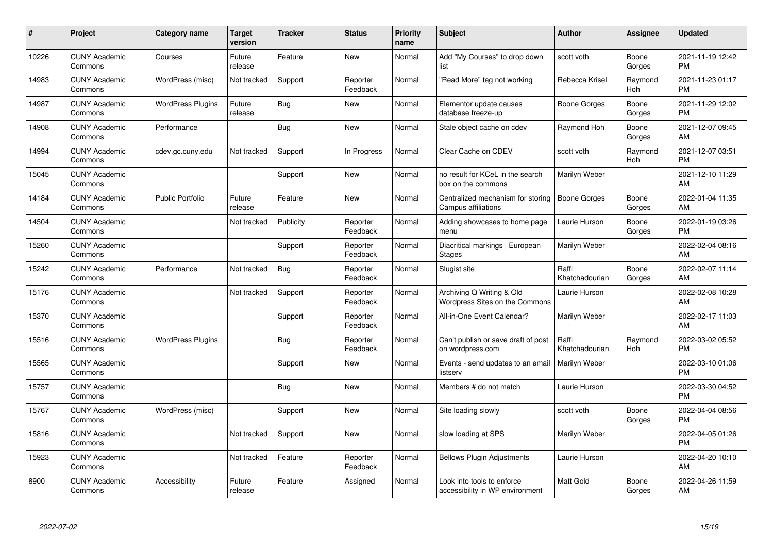| #     | Project                         | <b>Category name</b>     | <b>Target</b><br>version | <b>Tracker</b> | <b>Status</b>        | <b>Priority</b><br>name | <b>Subject</b>                                                | <b>Author</b>           | <b>Assignee</b> | <b>Updated</b>                |
|-------|---------------------------------|--------------------------|--------------------------|----------------|----------------------|-------------------------|---------------------------------------------------------------|-------------------------|-----------------|-------------------------------|
| 10226 | <b>CUNY Academic</b><br>Commons | Courses                  | Future<br>release        | Feature        | <b>New</b>           | Normal                  | Add "My Courses" to drop down<br>list                         | scott voth              | Boone<br>Gorges | 2021-11-19 12:42<br><b>PM</b> |
| 14983 | <b>CUNY Academic</b><br>Commons | WordPress (misc)         | Not tracked              | Support        | Reporter<br>Feedback | Normal                  | "Read More" tag not working                                   | Rebecca Krisel          | Raymond<br>Hoh  | 2021-11-23 01:17<br><b>PM</b> |
| 14987 | <b>CUNY Academic</b><br>Commons | <b>WordPress Plugins</b> | Future<br>release        | Bug            | <b>New</b>           | Normal                  | Elementor update causes<br>database freeze-up                 | Boone Gorges            | Boone<br>Gorges | 2021-11-29 12:02<br><b>PM</b> |
| 14908 | <b>CUNY Academic</b><br>Commons | Performance              |                          | Bug            | <b>New</b>           | Normal                  | Stale object cache on cdev                                    | Raymond Hoh             | Boone<br>Gorges | 2021-12-07 09:45<br>AM        |
| 14994 | <b>CUNY Academic</b><br>Commons | cdev.gc.cuny.edu         | Not tracked              | Support        | In Progress          | Normal                  | Clear Cache on CDEV                                           | scott voth              | Raymond<br>Hoh  | 2021-12-07 03:51<br><b>PM</b> |
| 15045 | <b>CUNY Academic</b><br>Commons |                          |                          | Support        | New                  | Normal                  | no result for KCeL in the search<br>box on the commons        | Marilyn Weber           |                 | 2021-12-10 11:29<br>AM        |
| 14184 | <b>CUNY Academic</b><br>Commons | <b>Public Portfolio</b>  | Future<br>release        | Feature        | <b>New</b>           | Normal                  | Centralized mechanism for storing<br>Campus affiliations      | <b>Boone Gorges</b>     | Boone<br>Gorges | 2022-01-04 11:35<br>AM        |
| 14504 | <b>CUNY Academic</b><br>Commons |                          | Not tracked              | Publicity      | Reporter<br>Feedback | Normal                  | Adding showcases to home page<br>menu                         | Laurie Hurson           | Boone<br>Gorges | 2022-01-19 03:26<br><b>PM</b> |
| 15260 | <b>CUNY Academic</b><br>Commons |                          |                          | Support        | Reporter<br>Feedback | Normal                  | Diacritical markings   European<br><b>Stages</b>              | Marilyn Weber           |                 | 2022-02-04 08:16<br>AM        |
| 15242 | <b>CUNY Academic</b><br>Commons | Performance              | Not tracked              | Bug            | Reporter<br>Feedback | Normal                  | Slugist site                                                  | Raffi<br>Khatchadourian | Boone<br>Gorges | 2022-02-07 11:14<br>AM        |
| 15176 | <b>CUNY Academic</b><br>Commons |                          | Not tracked              | Support        | Reporter<br>Feedback | Normal                  | Archiving Q Writing & Old<br>Wordpress Sites on the Commons   | Laurie Hurson           |                 | 2022-02-08 10:28<br>AM        |
| 15370 | <b>CUNY Academic</b><br>Commons |                          |                          | Support        | Reporter<br>Feedback | Normal                  | All-in-One Event Calendar?                                    | Marilyn Weber           |                 | 2022-02-17 11:03<br>AM        |
| 15516 | <b>CUNY Academic</b><br>Commons | <b>WordPress Plugins</b> |                          | Bug            | Reporter<br>Feedback | Normal                  | Can't publish or save draft of post<br>on wordpress.com       | Raffi<br>Khatchadourian | Raymond<br>Hoh  | 2022-03-02 05:52<br><b>PM</b> |
| 15565 | <b>CUNY Academic</b><br>Commons |                          |                          | Support        | New                  | Normal                  | Events - send updates to an email<br>listserv                 | Marilyn Weber           |                 | 2022-03-10 01:06<br><b>PM</b> |
| 15757 | <b>CUNY Academic</b><br>Commons |                          |                          | Bug            | <b>New</b>           | Normal                  | Members # do not match                                        | Laurie Hurson           |                 | 2022-03-30 04:52<br><b>PM</b> |
| 15767 | <b>CUNY Academic</b><br>Commons | WordPress (misc)         |                          | Support        | New                  | Normal                  | Site loading slowly                                           | scott voth              | Boone<br>Gorges | 2022-04-04 08:56<br><b>PM</b> |
| 15816 | <b>CUNY Academic</b><br>Commons |                          | Not tracked              | Support        | <b>New</b>           | Normal                  | slow loading at SPS                                           | Marilyn Weber           |                 | 2022-04-05 01:26<br><b>PM</b> |
| 15923 | <b>CUNY Academic</b><br>Commons |                          | Not tracked              | Feature        | Reporter<br>Feedback | Normal                  | <b>Bellows Plugin Adjustments</b>                             | Laurie Hurson           |                 | 2022-04-20 10:10<br>AM        |
| 8900  | <b>CUNY Academic</b><br>Commons | Accessibility            | Future<br>release        | Feature        | Assigned             | Normal                  | Look into tools to enforce<br>accessibility in WP environment | <b>Matt Gold</b>        | Boone<br>Gorges | 2022-04-26 11:59<br>AM        |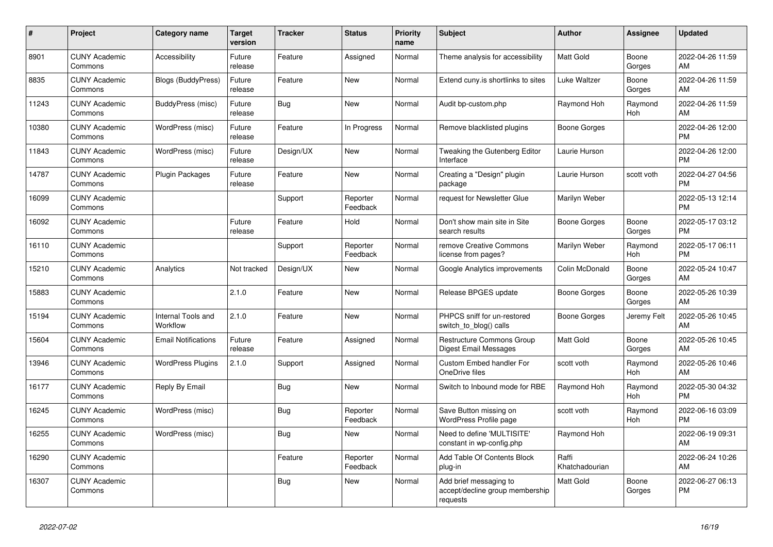| #     | Project                         | <b>Category name</b>           | <b>Target</b><br>version | <b>Tracker</b> | <b>Status</b>        | <b>Priority</b><br>name | <b>Subject</b>                                                        | <b>Author</b>           | <b>Assignee</b> | <b>Updated</b>                |
|-------|---------------------------------|--------------------------------|--------------------------|----------------|----------------------|-------------------------|-----------------------------------------------------------------------|-------------------------|-----------------|-------------------------------|
| 8901  | <b>CUNY Academic</b><br>Commons | Accessibility                  | Future<br>release        | Feature        | Assigned             | Normal                  | Theme analysis for accessibility                                      | <b>Matt Gold</b>        | Boone<br>Gorges | 2022-04-26 11:59<br>AM        |
| 8835  | <b>CUNY Academic</b><br>Commons | Blogs (BuddyPress)             | Future<br>release        | Feature        | New                  | Normal                  | Extend cuny is shortlinks to sites                                    | Luke Waltzer            | Boone<br>Gorges | 2022-04-26 11:59<br>AM        |
| 11243 | <b>CUNY Academic</b><br>Commons | BuddyPress (misc)              | Future<br>release        | Bug            | <b>New</b>           | Normal                  | Audit bp-custom.php                                                   | Raymond Hoh             | Raymond<br>Hoh  | 2022-04-26 11:59<br>AM        |
| 10380 | <b>CUNY Academic</b><br>Commons | WordPress (misc)               | Future<br>release        | Feature        | In Progress          | Normal                  | Remove blacklisted plugins                                            | Boone Gorges            |                 | 2022-04-26 12:00<br><b>PM</b> |
| 11843 | <b>CUNY Academic</b><br>Commons | WordPress (misc)               | Future<br>release        | Design/UX      | New                  | Normal                  | Tweaking the Gutenberg Editor<br>Interface                            | Laurie Hurson           |                 | 2022-04-26 12:00<br><b>PM</b> |
| 14787 | <b>CUNY Academic</b><br>Commons | Plugin Packages                | Future<br>release        | Feature        | <b>New</b>           | Normal                  | Creating a "Design" plugin<br>package                                 | Laurie Hurson           | scott voth      | 2022-04-27 04:56<br><b>PM</b> |
| 16099 | <b>CUNY Academic</b><br>Commons |                                |                          | Support        | Reporter<br>Feedback | Normal                  | request for Newsletter Glue                                           | Marilyn Weber           |                 | 2022-05-13 12:14<br><b>PM</b> |
| 16092 | <b>CUNY Academic</b><br>Commons |                                | Future<br>release        | Feature        | Hold                 | Normal                  | Don't show main site in Site<br>search results                        | Boone Gorges            | Boone<br>Gorges | 2022-05-17 03:12<br><b>PM</b> |
| 16110 | <b>CUNY Academic</b><br>Commons |                                |                          | Support        | Reporter<br>Feedback | Normal                  | remove Creative Commons<br>license from pages?                        | Marilyn Weber           | Raymond<br>Hoh  | 2022-05-17 06:11<br><b>PM</b> |
| 15210 | <b>CUNY Academic</b><br>Commons | Analytics                      | Not tracked              | Design/UX      | <b>New</b>           | Normal                  | Google Analytics improvements                                         | Colin McDonald          | Boone<br>Gorges | 2022-05-24 10:47<br>AM        |
| 15883 | <b>CUNY Academic</b><br>Commons |                                | 2.1.0                    | Feature        | New                  | Normal                  | Release BPGES update                                                  | Boone Gorges            | Boone<br>Gorges | 2022-05-26 10:39<br>AM        |
| 15194 | <b>CUNY Academic</b><br>Commons | Internal Tools and<br>Workflow | 2.1.0                    | Feature        | New                  | Normal                  | PHPCS sniff for un-restored<br>switch to blog() calls                 | Boone Gorges            | Jeremy Felt     | 2022-05-26 10:45<br>AM        |
| 15604 | <b>CUNY Academic</b><br>Commons | <b>Email Notifications</b>     | Future<br>release        | Feature        | Assigned             | Normal                  | Restructure Commons Group<br>Digest Email Messages                    | <b>Matt Gold</b>        | Boone<br>Gorges | 2022-05-26 10:45<br>AM        |
| 13946 | <b>CUNY Academic</b><br>Commons | <b>WordPress Plugins</b>       | 2.1.0                    | Support        | Assigned             | Normal                  | Custom Embed handler For<br>OneDrive files                            | scott voth              | Raymond<br>Hoh  | 2022-05-26 10:46<br>AM        |
| 16177 | <b>CUNY Academic</b><br>Commons | Reply By Email                 |                          | <b>Bug</b>     | New                  | Normal                  | Switch to Inbound mode for RBE                                        | Raymond Hoh             | Raymond<br>Hoh  | 2022-05-30 04:32<br><b>PM</b> |
| 16245 | <b>CUNY Academic</b><br>Commons | WordPress (misc)               |                          | Bug            | Reporter<br>Feedback | Normal                  | Save Button missing on<br>WordPress Profile page                      | scott voth              | Raymond<br>Hoh  | 2022-06-16 03:09<br><b>PM</b> |
| 16255 | <b>CUNY Academic</b><br>Commons | WordPress (misc)               |                          | Bug            | <b>New</b>           | Normal                  | Need to define 'MULTISITE'<br>constant in wp-config.php               | Raymond Hoh             |                 | 2022-06-19 09:31<br>AM        |
| 16290 | <b>CUNY Academic</b><br>Commons |                                |                          | Feature        | Reporter<br>Feedback | Normal                  | Add Table Of Contents Block<br>plug-in                                | Raffi<br>Khatchadourian |                 | 2022-06-24 10:26<br>AM        |
| 16307 | <b>CUNY Academic</b><br>Commons |                                |                          | Bug            | New                  | Normal                  | Add brief messaging to<br>accept/decline group membership<br>requests | <b>Matt Gold</b>        | Boone<br>Gorges | 2022-06-27 06:13<br><b>PM</b> |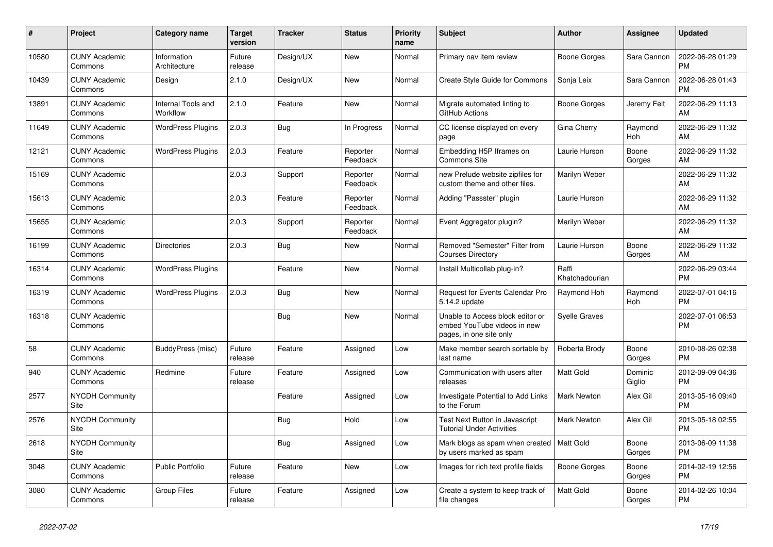| #     | Project                         | <b>Category name</b>           | <b>Target</b><br>version | <b>Tracker</b> | <b>Status</b>        | <b>Priority</b><br>name | <b>Subject</b>                                                                             | <b>Author</b>           | <b>Assignee</b>   | <b>Updated</b>                |
|-------|---------------------------------|--------------------------------|--------------------------|----------------|----------------------|-------------------------|--------------------------------------------------------------------------------------------|-------------------------|-------------------|-------------------------------|
| 10580 | <b>CUNY Academic</b><br>Commons | Information<br>Architecture    | Future<br>release        | Design/UX      | New                  | Normal                  | Primary nav item review                                                                    | Boone Gorges            | Sara Cannon       | 2022-06-28 01:29<br><b>PM</b> |
| 10439 | <b>CUNY Academic</b><br>Commons | Design                         | 2.1.0                    | Design/UX      | <b>New</b>           | Normal                  | Create Style Guide for Commons                                                             | Sonja Leix              | Sara Cannon       | 2022-06-28 01:43<br><b>PM</b> |
| 13891 | <b>CUNY Academic</b><br>Commons | Internal Tools and<br>Workflow | 2.1.0                    | Feature        | <b>New</b>           | Normal                  | Migrate automated linting to<br>GitHub Actions                                             | Boone Gorges            | Jeremy Felt       | 2022-06-29 11:13<br>AM        |
| 11649 | <b>CUNY Academic</b><br>Commons | <b>WordPress Plugins</b>       | 2.0.3                    | Bug            | In Progress          | Normal                  | CC license displayed on every<br>page                                                      | <b>Gina Cherry</b>      | Raymond<br>Hoh    | 2022-06-29 11:32<br>AM        |
| 12121 | <b>CUNY Academic</b><br>Commons | <b>WordPress Plugins</b>       | 2.0.3                    | Feature        | Reporter<br>Feedback | Normal                  | Embedding H5P Iframes on<br><b>Commons Site</b>                                            | Laurie Hurson           | Boone<br>Gorges   | 2022-06-29 11:32<br>AM        |
| 15169 | <b>CUNY Academic</b><br>Commons |                                | 2.0.3                    | Support        | Reporter<br>Feedback | Normal                  | new Prelude website zipfiles for<br>custom theme and other files.                          | Marilyn Weber           |                   | 2022-06-29 11:32<br><b>AM</b> |
| 15613 | <b>CUNY Academic</b><br>Commons |                                | 2.0.3                    | Feature        | Reporter<br>Feedback | Normal                  | Adding "Passster" plugin                                                                   | Laurie Hurson           |                   | 2022-06-29 11:32<br>AM        |
| 15655 | <b>CUNY Academic</b><br>Commons |                                | 2.0.3                    | Support        | Reporter<br>Feedback | Normal                  | Event Aggregator plugin?                                                                   | Marilyn Weber           |                   | 2022-06-29 11:32<br>AM        |
| 16199 | <b>CUNY Academic</b><br>Commons | <b>Directories</b>             | 2.0.3                    | Bug            | New                  | Normal                  | Removed "Semester" Filter from<br><b>Courses Directory</b>                                 | Laurie Hurson           | Boone<br>Gorges   | 2022-06-29 11:32<br>AM        |
| 16314 | <b>CUNY Academic</b><br>Commons | <b>WordPress Plugins</b>       |                          | Feature        | <b>New</b>           | Normal                  | Install Multicollab plug-in?                                                               | Raffi<br>Khatchadourian |                   | 2022-06-29 03:44<br><b>PM</b> |
| 16319 | <b>CUNY Academic</b><br>Commons | <b>WordPress Plugins</b>       | 2.0.3                    | Bug            | New                  | Normal                  | Request for Events Calendar Pro<br>5.14.2 update                                           | Raymond Hoh             | Raymond<br>Hoh    | 2022-07-01 04:16<br><b>PM</b> |
| 16318 | <b>CUNY Academic</b><br>Commons |                                |                          | Bug            | New                  | Normal                  | Unable to Access block editor or<br>embed YouTube videos in new<br>pages, in one site only | <b>Syelle Graves</b>    |                   | 2022-07-01 06:53<br>PM.       |
| 58    | <b>CUNY Academic</b><br>Commons | BuddyPress (misc)              | Future<br>release        | Feature        | Assigned             | Low                     | Make member search sortable by<br>last name                                                | Roberta Brody           | Boone<br>Gorges   | 2010-08-26 02:38<br><b>PM</b> |
| 940   | <b>CUNY Academic</b><br>Commons | Redmine                        | Future<br>release        | Feature        | Assigned             | Low                     | Communication with users after<br>releases                                                 | Matt Gold               | Dominic<br>Giglio | 2012-09-09 04:36<br><b>PM</b> |
| 2577  | <b>NYCDH Community</b><br>Site  |                                |                          | Feature        | Assigned             | Low                     | Investigate Potential to Add Links<br>to the Forum                                         | Mark Newton             | Alex Gil          | 2013-05-16 09:40<br><b>PM</b> |
| 2576  | <b>NYCDH Community</b><br>Site  |                                |                          | <b>Bug</b>     | Hold                 | Low                     | Test Next Button in Javascript<br><b>Tutorial Under Activities</b>                         | <b>Mark Newton</b>      | Alex Gil          | 2013-05-18 02:55<br><b>PM</b> |
| 2618  | <b>NYCDH Community</b><br>Site  |                                |                          | Bug            | Assigned             | Low                     | Mark blogs as spam when created<br>by users marked as spam                                 | <b>Matt Gold</b>        | Boone<br>Gorges   | 2013-06-09 11:38<br><b>PM</b> |
| 3048  | <b>CUNY Academic</b><br>Commons | <b>Public Portfolio</b>        | Future<br>release        | Feature        | New                  | Low                     | Images for rich text profile fields                                                        | Boone Gorges            | Boone<br>Gorges   | 2014-02-19 12:56<br><b>PM</b> |
| 3080  | <b>CUNY Academic</b><br>Commons | <b>Group Files</b>             | Future<br>release        | Feature        | Assigned             | Low                     | Create a system to keep track of<br>file changes                                           | Matt Gold               | Boone<br>Gorges   | 2014-02-26 10:04<br><b>PM</b> |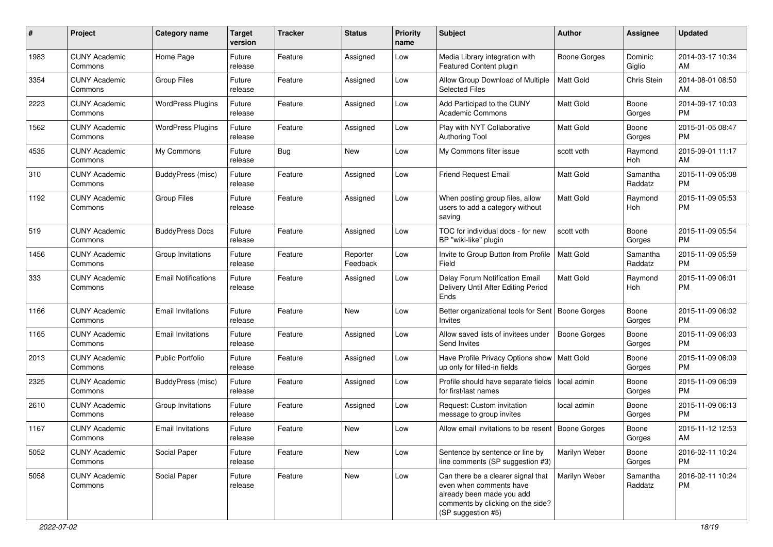| #    | Project                         | <b>Category name</b>       | <b>Target</b><br>version | <b>Tracker</b> | <b>Status</b>        | Priority<br>name | <b>Subject</b>                                                                                                                                        | <b>Author</b>       | <b>Assignee</b>     | <b>Updated</b>                |
|------|---------------------------------|----------------------------|--------------------------|----------------|----------------------|------------------|-------------------------------------------------------------------------------------------------------------------------------------------------------|---------------------|---------------------|-------------------------------|
| 1983 | <b>CUNY Academic</b><br>Commons | Home Page                  | Future<br>release        | Feature        | Assigned             | Low              | Media Library integration with<br><b>Featured Content plugin</b>                                                                                      | <b>Boone Gorges</b> | Dominic<br>Giglio   | 2014-03-17 10:34<br>AM.       |
| 3354 | <b>CUNY Academic</b><br>Commons | <b>Group Files</b>         | Future<br>release        | Feature        | Assigned             | Low              | Allow Group Download of Multiple<br><b>Selected Files</b>                                                                                             | <b>Matt Gold</b>    | Chris Stein         | 2014-08-01 08:50<br>AM        |
| 2223 | <b>CUNY Academic</b><br>Commons | <b>WordPress Plugins</b>   | Future<br>release        | Feature        | Assigned             | Low              | Add Participad to the CUNY<br><b>Academic Commons</b>                                                                                                 | Matt Gold           | Boone<br>Gorges     | 2014-09-17 10:03<br><b>PM</b> |
| 1562 | <b>CUNY Academic</b><br>Commons | <b>WordPress Plugins</b>   | Future<br>release        | Feature        | Assigned             | Low              | Play with NYT Collaborative<br><b>Authoring Tool</b>                                                                                                  | <b>Matt Gold</b>    | Boone<br>Gorges     | 2015-01-05 08:47<br><b>PM</b> |
| 4535 | <b>CUNY Academic</b><br>Commons | My Commons                 | Future<br>release        | Bug            | New                  | Low              | My Commons filter issue                                                                                                                               | scott voth          | Raymond<br>Hoh      | 2015-09-01 11:17<br>AM        |
| 310  | <b>CUNY Academic</b><br>Commons | BuddyPress (misc)          | Future<br>release        | Feature        | Assigned             | Low              | <b>Friend Request Email</b>                                                                                                                           | <b>Matt Gold</b>    | Samantha<br>Raddatz | 2015-11-09 05:08<br><b>PM</b> |
| 1192 | <b>CUNY Academic</b><br>Commons | <b>Group Files</b>         | Future<br>release        | Feature        | Assigned             | Low              | When posting group files, allow<br>users to add a category without<br>saving                                                                          | <b>Matt Gold</b>    | Raymond<br>Hoh      | 2015-11-09 05:53<br><b>PM</b> |
| 519  | <b>CUNY Academic</b><br>Commons | <b>BuddyPress Docs</b>     | Future<br>release        | Feature        | Assigned             | Low              | TOC for individual docs - for new<br>BP "wiki-like" plugin                                                                                            | scott voth          | Boone<br>Gorges     | 2015-11-09 05:54<br><b>PM</b> |
| 1456 | <b>CUNY Academic</b><br>Commons | Group Invitations          | Future<br>release        | Feature        | Reporter<br>Feedback | Low              | Invite to Group Button from Profile<br>Field                                                                                                          | <b>Matt Gold</b>    | Samantha<br>Raddatz | 2015-11-09 05:59<br><b>PM</b> |
| 333  | <b>CUNY Academic</b><br>Commons | <b>Email Notifications</b> | Future<br>release        | Feature        | Assigned             | Low              | Delay Forum Notification Email<br>Delivery Until After Editing Period<br>Ends                                                                         | <b>Matt Gold</b>    | Raymond<br>Hoh      | 2015-11-09 06:01<br><b>PM</b> |
| 1166 | <b>CUNY Academic</b><br>Commons | <b>Email Invitations</b>   | Future<br>release        | Feature        | New                  | Low              | Better organizational tools for Sent<br><b>Invites</b>                                                                                                | Boone Gorges        | Boone<br>Gorges     | 2015-11-09 06:02<br><b>PM</b> |
| 1165 | <b>CUNY Academic</b><br>Commons | <b>Email Invitations</b>   | Future<br>release        | Feature        | Assigned             | Low              | Allow saved lists of invitees under<br>Send Invites                                                                                                   | <b>Boone Gorges</b> | Boone<br>Gorges     | 2015-11-09 06:03<br><b>PM</b> |
| 2013 | <b>CUNY Academic</b><br>Commons | Public Portfolio           | Future<br>release        | Feature        | Assigned             | Low              | Have Profile Privacy Options show<br>up only for filled-in fields                                                                                     | <b>Matt Gold</b>    | Boone<br>Gorges     | 2015-11-09 06:09<br>PM        |
| 2325 | <b>CUNY Academic</b><br>Commons | BuddyPress (misc)          | Future<br>release        | Feature        | Assigned             | Low              | Profile should have separate fields<br>for first/last names                                                                                           | local admin         | Boone<br>Gorges     | 2015-11-09 06:09<br>PM.       |
| 2610 | <b>CUNY Academic</b><br>Commons | Group Invitations          | Future<br>release        | Feature        | Assigned             | Low              | Request: Custom invitation<br>message to group invites                                                                                                | local admin         | Boone<br>Gorges     | 2015-11-09 06:13<br>PM.       |
| 1167 | <b>CUNY Academic</b><br>Commons | <b>Email Invitations</b>   | Future<br>release        | Feature        | New                  | Low              | Allow email invitations to be resent   Boone Gorges                                                                                                   |                     | Boone<br>Gorges     | 2015-11-12 12:53<br>AM        |
| 5052 | <b>CUNY Academic</b><br>Commons | Social Paper               | Future<br>release        | Feature        | New                  | Low              | Sentence by sentence or line by<br>line comments (SP suggestion #3)                                                                                   | Marilyn Weber       | Boone<br>Gorges     | 2016-02-11 10:24<br><b>PM</b> |
| 5058 | <b>CUNY Academic</b><br>Commons | Social Paper               | Future<br>release        | Feature        | New                  | Low              | Can there be a clearer signal that<br>even when comments have<br>already been made you add<br>comments by clicking on the side?<br>(SP suggestion #5) | Marilyn Weber       | Samantha<br>Raddatz | 2016-02-11 10:24<br><b>PM</b> |